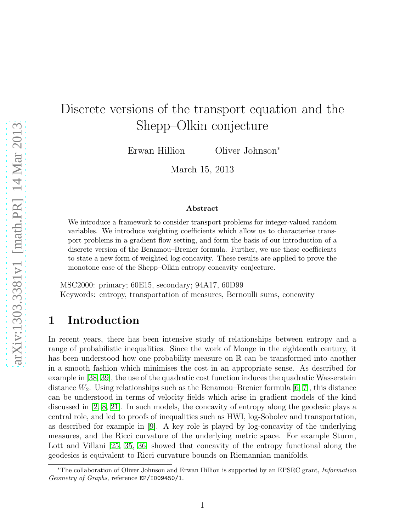# Discrete versions of the transport equation and the Shepp–Olkin conjecture

Erwan Hillion Oliver Johnson<sup>∗</sup>

March 15, 2013

#### Abstract

We introduce a framework to consider transport problems for integer-valued random variables. We introduce weighting coefficients which allow us to characterise transport problems in a gradient flow setting, and form the basis of our introduction of a discrete version of the Benamou–Brenier formula. Further, we use these coefficients to state a new form of weighted log-concavity. These results are applied to prove the monotone case of the Shepp–Olkin entropy concavity conjecture.

MSC2000: primary; 60E15, secondary; 94A17, 60D99 Keywords: entropy, transportation of measures, Bernoulli sums, concavity

## 1 Introduction

In recent years, there has been intensive study of relationships between entropy and a range of probabilistic inequalities. Since the work of Monge in the eighteenth century, it has been understood how one probability measure on R can be transformed into another in a smooth fashion which minimises the cost in an appropriate sense. As described for example in [\[38,](#page-31-0) [39\]](#page-31-1), the use of the quadratic cost function induces the quadratic Wasserstein distance  $W_2$ . Using relationships such as the Benamou–Brenier formula [\[6,](#page-29-0) [7\]](#page-29-1), this distance can be understood in terms of velocity fields which arise in gradient models of the kind discussed in [\[2,](#page-29-2) [8,](#page-29-3) [21\]](#page-30-0). In such models, the concavity of entropy along the geodesic plays a central role, and led to proofs of inequalities such as HWI, log-Sobolev and transportation, as described for example in [\[9\]](#page-29-4). A key role is played by log-concavity of the underlying measures, and the Ricci curvature of the underlying metric space. For example Sturm, Lott and Villani [\[25,](#page-30-1) [35,](#page-31-2) [36\]](#page-31-3) showed that concavity of the entropy functional along the geodesics is equivalent to Ricci curvature bounds on Riemannian manifolds.

<sup>∗</sup>The collaboration of Oliver Johnson and Erwan Hillion is supported by an EPSRC grant, Information Geometry of Graphs, reference EP/I009450/1.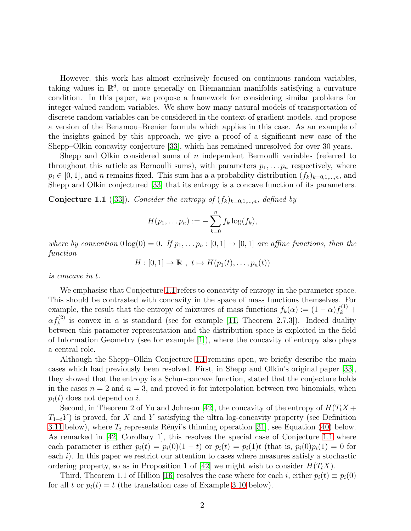However, this work has almost exclusively focused on continuous random variables, taking values in  $\mathbb{R}^d$ , or more generally on Riemannian manifolds satisfying a curvature condition. In this paper, we propose a framework for considering similar problems for integer-valued random variables. We show how many natural models of transportation of discrete random variables can be considered in the context of gradient models, and propose a version of the Benamou–Brenier formula which applies in this case. As an example of the insights gained by this approach, we give a proof of a significant new case of the Shepp–Olkin concavity conjecture [\[33\]](#page-31-4), which has remained unresolved for over 30 years.

Shepp and Olkin considered sums of n independent Bernoulli variables (referred to throughout this article as Bernoulli sums), with parameters  $p_1, \ldots, p_n$  respectively, where  $p_i \in [0,1]$ , and n remains fixed. This sum has a a probability distribution  $(f_k)_{k=0,1,\dots,n}$ , and Shepp and Olkin conjectured [\[33\]](#page-31-4) that its entropy is a concave function of its parameters.

<span id="page-1-0"></span>**Conjecture 1.1** ([\[33\]](#page-31-4)). Consider the entropy of  $(f_k)_{k=0,1,\dots,n}$ , defined by

$$
H(p_1,\ldots p_n):=-\sum_{k=0}^n f_k \log(f_k),
$$

where by convention  $0 \log(0) = 0$ . If  $p_1, \ldots, p_n : [0, 1] \rightarrow [0, 1]$  are affine functions, then the function

$$
H : [0,1] \to \mathbb{R} , t \mapsto H(p_1(t),\ldots,p_n(t))
$$

is concave in t.

We emphasise that Conjecture [1.1](#page-1-0) refers to concavity of entropy in the parameter space. This should be contrasted with concavity in the space of mass functions themselves. For example, the result that the entropy of mixtures of mass functions  $f_k(\alpha) := (1 - \alpha) f_k^{(1)} +$  $\alpha f_k^{(2)}$  is convex in  $\alpha$  is standard (see for example [\[11,](#page-29-5) Theorem 2.7.3]). Indeed duality between this parameter representation and the distribution space is exploited in the field of Information Geometry (see for example [\[1\]](#page-29-6)), where the concavity of entropy also plays a central role.

Although the Shepp–Olkin Conjecture [1.1](#page-1-0) remains open, we briefly describe the main cases which had previously been resolved. First, in Shepp and Olkin's original paper [\[33\]](#page-31-4), they showed that the entropy is a Schur-concave function, stated that the conjecture holds in the cases  $n = 2$  and  $n = 3$ , and proved it for interpolation between two binomials, when  $p_i(t)$  does not depend on i.

Second, in Theorem 2 of Yu and Johnson [\[42\]](#page-31-5), the concavity of the entropy of  $H(T_tX +$  $T_{1-t}Y$ ) is proved, for X and Y satisfying the ultra log-concavity property (see Definition [3.11](#page-15-0) below), where  $T_t$  represents Rényi's thinning operation [\[31\]](#page-31-6), see Equation [\(40\)](#page-13-0) below. As remarked in [\[42,](#page-31-5) Corollary 1], this resolves the special case of Conjecture [1.1](#page-1-0) where each parameter is either  $p_i(t) = p_i(0)(1-t)$  or  $p_i(t) = p_i(1)t$  (that is,  $p_i(0)p_i(1) = 0$  for each  $i$ ). In this paper we restrict our attention to cases where measures satisfy a stochastic ordering property, so as in Proposition 1 of [\[42\]](#page-31-5) we might wish to consider  $H(T_tX)$ .

Third, Theorem 1.1 of Hillion [\[16\]](#page-30-2) resolves the case where for each i, either  $p_i(t) \equiv p_i(0)$ for all t or  $p_i(t) = t$  (the translation case of Example [3.10](#page-14-0) below).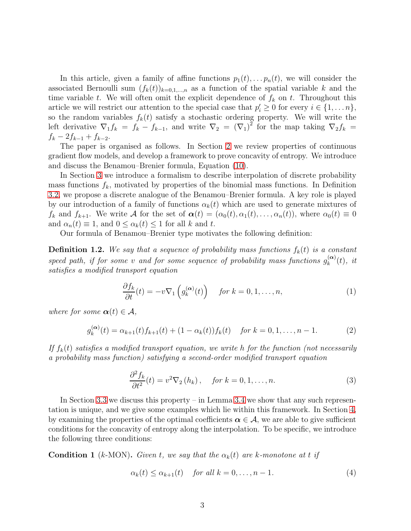In this article, given a family of affine functions  $p_1(t), \ldots, p_n(t)$ , we will consider the associated Bernoulli sum  $(f_k(t))_{k=0,1,...,n}$  as a function of the spatial variable k and the time variable t. We will often omit the explicit dependence of  $f_k$  on t. Throughout this article we will restrict our attention to the special case that  $p'_i \geq 0$  for every  $i \in \{1, \ldots n\}$ , so the random variables  $f_k(t)$  satisfy a stochastic ordering property. We will write the left derivative  $\nabla_1 f_k = f_k - f_{k-1}$ , and write  $\nabla_2 = (\nabla_1)^2$  for the map taking  $\nabla_2 f_k =$  $f_k - 2f_{k-1} + f_{k-2}.$ 

The paper is organised as follows. In Section [2](#page-4-0) we review properties of continuous gradient flow models, and develop a framework to prove concavity of entropy. We introduce and discuss the Benamou–Brenier formula, Equation [\(10\)](#page-5-0).

In Section [3](#page-9-0) we introduce a formalism to describe interpolation of discrete probability mass functions  $f_k$ , motivated by properties of the binomial mass functions. In Definition [3.2,](#page-10-0) we propose a discrete analogue of the Benamou–Brenier formula. A key role is played by our introduction of a family of functions  $\alpha_k(t)$  which are used to generate mixtures of  $f_k$  and  $f_{k+1}$ . We write A for the set of  $\boldsymbol{\alpha}(t) = (\alpha_0(t), \alpha_1(t), \ldots, \alpha_n(t))$ , where  $\alpha_0(t) \equiv 0$ and  $\alpha_n(t) \equiv 1$ , and  $0 \leq \alpha_k(t) \leq 1$  for all k and t.

Our formula of Benamou–Brenier type motivates the following definition:

<span id="page-2-1"></span>**Definition 1.2.** We say that a sequence of probability mass functions  $f_k(t)$  is a constant speed path, if for some v and for some sequence of probability mass functions  $g_k^{(\alpha)}$  $\binom{\mathbf{\alpha}}{k}(t), \text{ } it$ satisfies a modified transport equation

<span id="page-2-2"></span>
$$
\frac{\partial f_k}{\partial t}(t) = -v \nabla_1 \left( g_k^{(\alpha)}(t) \right) \quad \text{for } k = 0, 1, \dots, n,
$$
\n(1)

where for some  $\boldsymbol{\alpha}(t) \in \mathcal{A}$ ,

$$
g_k^{(\alpha)}(t) = \alpha_{k+1}(t) f_{k+1}(t) + (1 - \alpha_k(t)) f_k(t) \quad \text{for } k = 0, 1, \dots, n-1.
$$
 (2)

If  $f_k(t)$  satisfies a modified transport equation, we write h for the function (not necessarily a probability mass function) satisfying a second-order modified transport equation

<span id="page-2-3"></span>
$$
\frac{\partial^2 f_k}{\partial t^2}(t) = v^2 \nabla_2 (h_k), \quad \text{for } k = 0, 1, \dots, n. \tag{3}
$$

In Section [3.3](#page-12-0) we discuss this property – in Lemma [3.4](#page-11-0) we show that any such representation is unique, and we give some examples which lie within this framework. In Section [4,](#page-16-0) by examining the properties of the optimal coefficients  $\alpha \in A$ , we are able to give sufficient conditions for the concavity of entropy along the interpolation. To be specific, we introduce the following three conditions:

<span id="page-2-0"></span>**Condition 1** (k-MON). Given t, we say that the  $\alpha_k(t)$  are k-monotone at t if

$$
\alpha_k(t) \le \alpha_{k+1}(t) \quad \text{for all } k = 0, \dots, n-1. \tag{4}
$$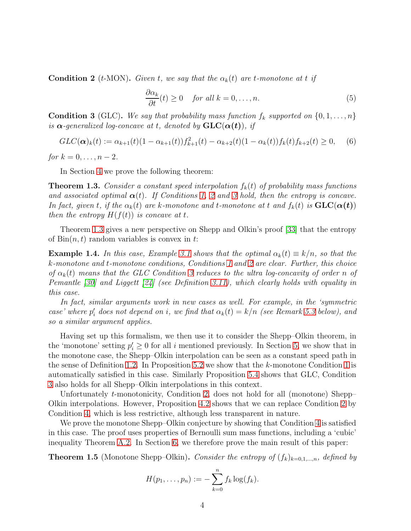<span id="page-3-0"></span>**Condition 2** (t-MON). Given t, we say that the  $\alpha_k(t)$  are t-monotone at t if

$$
\frac{\partial \alpha_k}{\partial t}(t) \ge 0 \quad \text{for all } k = 0, \dots, n. \tag{5}
$$

<span id="page-3-1"></span>**Condition 3** (GLC). We say that probability mass function  $f_k$  supported on  $\{0, 1, \ldots, n\}$ is  $\alpha$ -generalized log-concave at t, denoted by  $GLC(\alpha(t))$ , if

<span id="page-3-3"></span>
$$
GLC(\alpha)_k(t) := \alpha_{k+1}(t)(1 - \alpha_{k+1}(t))f_{k+1}^2(t) - \alpha_{k+2}(t)(1 - \alpha_k(t))f_k(t)f_{k+2}(t) \ge 0,
$$
 (6)

for  $k = 0, ..., n - 2$ .

In Section [4](#page-16-0) we prove the following theorem:

<span id="page-3-2"></span>**Theorem 1.3.** Consider a constant speed interpolation  $f_k(t)$  of probability mass functions and associated optimal  $\alpha(t)$ . If Conditions [1,](#page-2-0) [2](#page-3-0) and [3](#page-3-1) hold, then the entropy is concave. In fact, given t, if the  $\alpha_k(t)$  are k-monotone and t-monotone at t and  $f_k(t)$  is  $\text{GLC}(\alpha(t))$ then the entropy  $H(f(t))$  is concave at t.

Theorem [1.3](#page-3-2) gives a new perspective on Shepp and Olkin's proof [\[33\]](#page-31-4) that the entropy of  $\text{Bin}(n, t)$  random variables is convex in t:

**Example 1.4.** In this case, Example [3.1](#page-9-1) shows that the optimal  $\alpha_k(t) \equiv k/n$ , so that the k-monotone and t-monotone conditions, Conditions [1](#page-2-0) and [2](#page-3-0) are clear. Further, this choice of  $\alpha_k(t)$  means that the GLC Condition [3](#page-3-1) reduces to the ultra log-concavity of order n of Pemantle [\[30\]](#page-31-7) and Liggett [\[24\]](#page-30-3) (see Definition [3.11\)](#page-15-0), which clearly holds with equality in this case.

In fact, similar arguments work in new cases as well. For example, in the 'symmetric case' where  $p'_i$  does not depend on i, we find that  $\alpha_k(t) = k/n$  (see Remark [5.3](#page-22-0) below), and so a similar argument applies.

Having set up this formalism, we then use it to consider the Shepp–Olkin theorem, in the 'monotone' setting  $p'_i \geq 0$  for all i mentioned previously. In Section [5,](#page-21-0) we show that in the monotone case, the Shepp–Olkin interpolation can be seen as a constant speed path in the sense of Definition [1.2.](#page-2-1) In Proposition [5.2](#page-22-1) we show that the  $k$ -monotone Condition [1](#page-2-0) is automatically satisfied in this case. Similarly Proposition [5.4](#page-23-0) shows that GLC, Condition [3](#page-3-1) also holds for all Shepp–Olkin interpolations in this context.

Unfortunately t-monotonicity, Condition [2,](#page-3-0) does not hold for all (monotone) Shepp– Olkin interpolations. However, Proposition [4.2](#page-19-0) shows that we can replace Condition [2](#page-3-0) by Condition [4,](#page-19-1) which is less restrictive, although less transparent in nature.

We prove the monotone Shepp–Olkin conjecture by showing that Condition [4](#page-19-1) is satisfied in this case. The proof uses properties of Bernoulli sum mass functions, including a 'cubic' inequality Theorem [A.2.](#page-26-0) In Section [6,](#page-23-1) we therefore prove the main result of this paper:

<span id="page-3-4"></span>**Theorem 1.5** (Monotone Shepp–Olkin). Consider the entropy of  $(f_k)_{k=0,1,\dots,n}$ , defined by

$$
H(p_1,\ldots,p_n):=-\sum_{k=0}^n f_k \log(f_k).
$$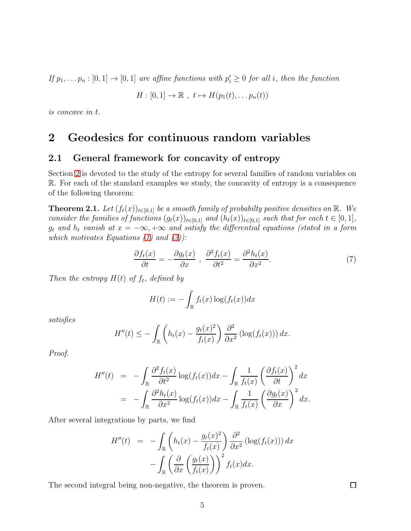If  $p_1, \ldots p_n : [0,1] \to [0,1]$  are affine functions with  $p'_i \geq 0$  for all i, then the function

$$
H : [0,1] \to \mathbb{R} , t \mapsto H(p_1(t), \ldots p_n(t))
$$

<span id="page-4-0"></span>is concave in t.

### 2 Geodesics for continuous random variables

#### 2.1 General framework for concavity of entropy

Section [2](#page-4-0) is devoted to the study of the entropy for several families of random variables on R. For each of the standard examples we study, the concavity of entropy is a consequence of the following theorem:

<span id="page-4-1"></span>**Theorem 2.1.** Let  $(f_t(x))_{t\in[0,1]}$  be a smooth family of probabilty positive densities on  $\mathbb{R}$ . We consider the families of functions  $(g_t(x))_{t\in[0,1]}$  and  $(h_t(x))_{t\in[0,1]}$  such that for each  $t\in[0,1],$  $g_t$  and  $h_t$  vanish at  $x = -\infty, +\infty$  and satisfy the differential equations (stated in a form which motivates Equations  $(1)$  and  $(3)$ :

<span id="page-4-2"></span>
$$
\frac{\partial f_t(x)}{\partial t} = -\frac{\partial g_t(x)}{\partial x} , \frac{\partial^2 f_t(x)}{\partial t^2} = \frac{\partial^2 h_t(x)}{\partial x^2}.
$$
 (7)

Then the entropy  $H(t)$  of  $f_t$ , defined by

$$
H(t) := -\int_{\mathbb{R}} f_t(x) \log(f_t(x)) dx
$$

satisfies

$$
H''(t) \leq -\int_{\mathbb{R}} \left( h_t(x) - \frac{g_t(x)^2}{f_t(x)} \right) \frac{\partial^2}{\partial x^2} \left( \log(f_t(x)) \right) dx.
$$

Proof.

$$
H''(t) = -\int_{\mathbb{R}} \frac{\partial^2 f_t(x)}{\partial t^2} \log(f_t(x)) dx - \int_{\mathbb{R}} \frac{1}{f_t(x)} \left(\frac{\partial f_t(x)}{\partial t}\right)^2 dx
$$
  
= 
$$
-\int_{\mathbb{R}} \frac{\partial^2 h_t(x)}{\partial x^2} \log(f_t(x)) dx - \int_{\mathbb{R}} \frac{1}{f_t(x)} \left(\frac{\partial g_t(x)}{\partial x}\right)^2 dx.
$$

After several integrations by parts, we find

$$
H''(t) = -\int_{\mathbb{R}} \left( h_t(x) - \frac{g_t(x)^2}{f_t(x)} \right) \frac{\partial^2}{\partial x^2} (\log(f_t(x))) dx
$$

$$
- \int_{\mathbb{R}} \left( \frac{\partial}{\partial x} \left( \frac{g_t(x)}{f_t(x)} \right) \right)^2 f_t(x) dx.
$$

The second integral being non-negative, the theorem is proven.

 $\Box$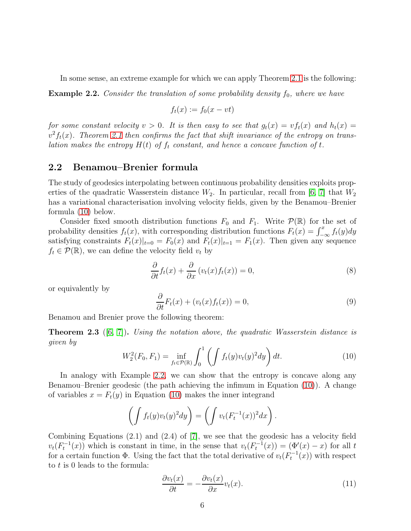In some sense, an extreme example for which we can apply Theorem [2.1](#page-4-1) is the following:

<span id="page-5-1"></span>**Example 2.2.** Consider the translation of some probability density  $f_0$ , where we have

$$
f_t(x) := f_0(x - vt)
$$

for some constant velocity  $v > 0$ . It is then easy to see that  $g_t(x) = v f_t(x)$  and  $h_t(x) =$  $v^2 f_t(x)$ . Theorem [2.1](#page-4-1) then confirms the fact that shift invariance of the entropy on translation makes the entropy  $H(t)$  of  $f_t$  constant, and hence a concave function of t.

#### 2.2 Benamou–Brenier formula

The study of geodesics interpolating between continuous probability densities exploits properties of the quadratic Wasserstein distance  $W_2$ . In particular, recall from [\[6,](#page-29-0) [7\]](#page-29-1) that  $W_2$ has a variational characterisation involving velocity fields, given by the Benamou–Brenier formula [\(10\)](#page-5-0) below.

Consider fixed smooth distribution functions  $F_0$  and  $F_1$ . Write  $\mathcal{P}(\mathbb{R})$  for the set of probability densities  $f_t(x)$ , with corresponding distribution functions  $F_t(x) = \int_{-\infty}^x f_t(y) dy$ satisfying constraints  $F_t(x)|_{t=0} = F_0(x)$  and  $F_t(x)|_{t=1} = F_1(x)$ . Then given any sequence  $f_t \in \mathcal{P}(\mathbb{R})$ , we can define the velocity field  $v_t$  by

<span id="page-5-2"></span>
$$
\frac{\partial}{\partial t}f_t(x) + \frac{\partial}{\partial x}(v_t(x)f_t(x)) = 0,
$$
\n(8)

or equivalently by

<span id="page-5-4"></span>
$$
\frac{\partial}{\partial t}F_t(x) + (v_t(x)f_t(x)) = 0,
$$
\n(9)

Benamou and Brenier prove the following theorem:

**Theorem 2.3** ([\[6,](#page-29-0) [7\]](#page-29-1)). Using the notation above, the quadratic Wasserstein distance is given by

<span id="page-5-0"></span>
$$
W_2^2(F_0, F_1) = \inf_{f_t \in \mathcal{P}(\mathbb{R})} \int_0^1 \left( \int f_t(y) v_t(y)^2 dy \right) dt.
$$
 (10)

In analogy with Example [2.2,](#page-5-1) we can show that the entropy is concave along any Benamou–Brenier geodesic (the path achieving the infimum in Equation [\(10\)](#page-5-0)). A change of variables  $x = F_t(y)$  in Equation [\(10\)](#page-5-0) makes the inner integrand

$$
\left(\int f_t(y)v_t(y)^2 dy\right) = \left(\int v_t(F_t^{-1}(x))^2 dx\right).
$$

Combining Equations (2.1) and (2.4) of [\[7\]](#page-29-1), we see that the geodesic has a velocity field  $v_t(F_t^{-1}(x))$  which is constant in time, in the sense that  $v_t(F_t^{-1}(x)) = (\Phi'(x) - x)$  for all t for a certain function  $\Phi$ . Using the fact that the total derivative of  $v_t(F_t^{-1}(x))$  with respect to t is 0 leads to the formula:

<span id="page-5-3"></span>
$$
\frac{\partial v_t(x)}{\partial t} = -\frac{\partial v_t(x)}{\partial x} v_t(x). \tag{11}
$$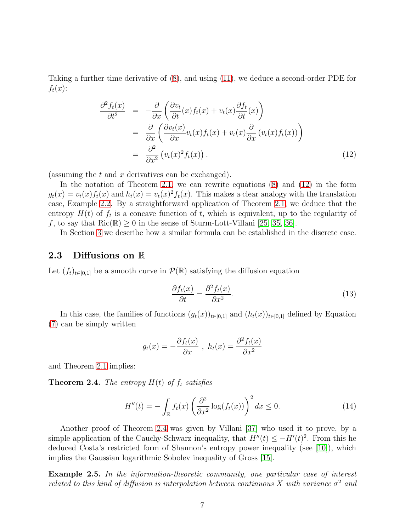Taking a further time derivative of [\(8\)](#page-5-2), and using [\(11\)](#page-5-3), we deduce a second-order PDE for  $f_t(x)$ :

<span id="page-6-0"></span>
$$
\frac{\partial^2 f_t(x)}{\partial t^2} = -\frac{\partial}{\partial x} \left( \frac{\partial v_t}{\partial t}(x) f_t(x) + v_t(x) \frac{\partial f_t}{\partial t}(x) \right)
$$
  
\n
$$
= \frac{\partial}{\partial x} \left( \frac{\partial v_t(x)}{\partial x} v_t(x) f_t(x) + v_t(x) \frac{\partial}{\partial x} (v_t(x) f_t(x)) \right)
$$
  
\n
$$
= \frac{\partial^2}{\partial x^2} (v_t(x)^2 f_t(x)). \tag{12}
$$

(assuming the  $t$  and  $x$  derivatives can be exchanged).

In the notation of Theorem [2.1,](#page-4-1) we can rewrite equations [\(8\)](#page-5-2) and [\(12\)](#page-6-0) in the form  $g_t(x) = v_t(x) f_t(x)$  and  $h_t(x) = v_t(x)^2 f_t(x)$ . This makes a clear analogy with the translation case, Example [2.2.](#page-5-1) By a straightforward application of Theorem [2.1,](#page-4-1) we deduce that the entropy  $H(t)$  of  $f_t$  is a concave function of t, which is equivalent, up to the regularity of f, to say that  $\text{Ric}(\mathbb{R}) \geq 0$  in the sense of Sturm-Lott-Villani [\[25,](#page-30-1) [35,](#page-31-2) [36\]](#page-31-3).

In Section [3](#page-9-0) we describe how a similar formula can be established in the discrete case.

#### 2.3 Diffusions on R

Let  $(f_t)_{t\in[0,1]}$  be a smooth curve in  $\mathcal{P}(\mathbb{R})$  satisfying the diffusion equation

$$
\frac{\partial f_t(x)}{\partial t} = \frac{\partial^2 f_t(x)}{\partial x^2}.
$$
\n(13)

In this case, the families of functions  $(g_t(x))_{t\in[0,1]}$  and  $(h_t(x))_{t\in[0,1]}$  defined by Equation [\(7\)](#page-4-2) can be simply written

$$
g_t(x) = -\frac{\partial f_t(x)}{\partial x}, \ h_t(x) = \frac{\partial^2 f_t(x)}{\partial x^2}
$$

and Theorem [2.1](#page-4-1) implies:

<span id="page-6-1"></span>**Theorem 2.4.** The entropy  $H(t)$  of  $f_t$  satisfies

$$
H''(t) = -\int_{\mathbb{R}} f_t(x) \left(\frac{\partial^2}{\partial x^2} \log(f_t(x))\right)^2 dx \le 0.
$$
 (14)

Another proof of Theorem [2.4](#page-6-1) was given by Villani [\[37\]](#page-31-8) who used it to prove, by a simple application of the Cauchy-Schwarz inequality, that  $H''(t) \leq -H'(t)^2$ . From this he deduced Costa's restricted form of Shannon's entropy power inequality (see [\[10\]](#page-29-7)), which implies the Gaussian logarithmic Sobolev inequality of Gross [\[15\]](#page-30-4).

Example 2.5. In the information-theoretic community, one particular case of interest related to this kind of diffusion is interpolation between continuous X with variance  $\sigma^2$  and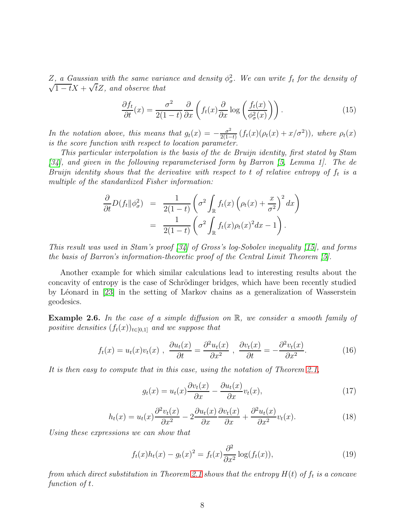Z, a Gaussian with the same variance and density  $\phi_{\sigma}^2$ . We can write  $f_t$  for the density of  $\sqrt{1-t}X + \sqrt{t}Z$ , and observe that

$$
\frac{\partial f_t}{\partial t}(x) = \frac{\sigma^2}{2(1-t)} \frac{\partial}{\partial x} \left( f_t(x) \frac{\partial}{\partial x} \log \left( \frac{f_t(x)}{\phi_\sigma^2(x)} \right) \right). \tag{15}
$$

In the notation above, this means that  $g_t(x) = -\frac{\sigma^2}{2(1-x)}$  $\frac{\sigma^2}{2(1-t)}(f_t(x)(\rho_t(x)+x/\sigma^2)),$  where  $\rho_t(x)$ is the score function with respect to location parameter.

This particular interpolation is the basis of the de Bruijn identity, first stated by Stam [\[34\]](#page-31-9), and given in the following reparameterised form by Barron [\[5,](#page-29-8) Lemma 1]. The de Bruijn identity shows that the derivative with respect to t of relative entropy of  $f_t$  is a multiple of the standardized Fisher information:

$$
\frac{\partial}{\partial t}D(f_t||\phi_\sigma^2) = \frac{1}{2(1-t)} \left(\sigma^2 \int_{\mathbb{R}} f_t(x) \left(\rho_t(x) + \frac{x}{\sigma^2}\right)^2 dx\right)
$$

$$
= \frac{1}{2(1-t)} \left(\sigma^2 \int_{\mathbb{R}} f_t(x) \rho_t(x)^2 dx - 1\right).
$$

This result was used in Stam's proof [\[34\]](#page-31-9) of Gross's log-Sobolev inequality [\[15\]](#page-30-4), and forms the basis of Barron's information-theoretic proof of the Central Limit Theorem [\[5\]](#page-29-8).

Another example for which similar calculations lead to interesting results about the concavity of entropy is the case of Schrödinger bridges, which have been recently studied by L´eonard in [\[23\]](#page-30-5) in the setting of Markov chains as a generalization of Wasserstein geodesics.

**Example 2.6.** In the case of a simple diffusion on  $\mathbb{R}$ , we consider a smooth family of positive densities  $(f_t(x))_{t\in[0,1]}$  and we suppose that

$$
f_t(x) = u_t(x)v_t(x) , \frac{\partial u_t(x)}{\partial t} = \frac{\partial^2 u_t(x)}{\partial x^2} , \frac{\partial v_t(x)}{\partial t} = -\frac{\partial^2 v_t(x)}{\partial x^2}.
$$
 (16)

It is then easy to compute that in this case, using the notation of Theorem [2.1,](#page-4-1)

$$
g_t(x) = u_t(x)\frac{\partial v_t(x)}{\partial x} - \frac{\partial u_t(x)}{\partial x}v_t(x),\tag{17}
$$

$$
h_t(x) = u_t(x)\frac{\partial^2 v_t(x)}{\partial x^2} - 2\frac{\partial u_t(x)}{\partial x}\frac{\partial v_t(x)}{\partial x} + \frac{\partial^2 u_t(x)}{\partial x^2}v_t(x).
$$
 (18)

Using these expressions we can show that

$$
f_t(x)h_t(x) - g_t(x)^2 = f_t(x)\frac{\partial^2}{\partial x^2}\log(f_t(x)),
$$
\n(19)

from which direct substitution in Theorem [2.1](#page-4-1) shows that the entropy  $H(t)$  of  $f_t$  is a concave function of t.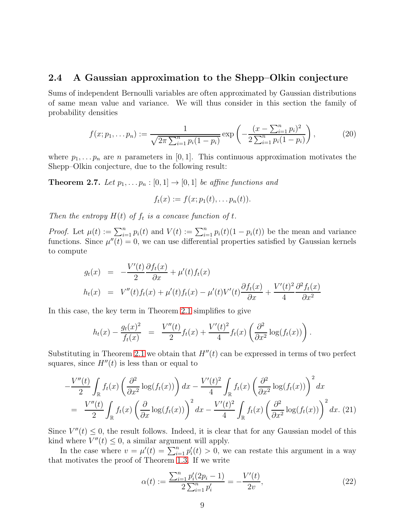#### 2.4 A Gaussian approximation to the Shepp–Olkin conjecture

Sums of independent Bernoulli variables are often approximated by Gaussian distributions of same mean value and variance. We will thus consider in this section the family of probability densities

$$
f(x; p_1, \ldots, p_n) := \frac{1}{\sqrt{2\pi \sum_{i=1}^n p_i (1-p_i)}} \exp\left(-\frac{(x-\sum_{i=1}^n p_i)^2}{2\sum_{i=1}^n p_i (1-p_i)}\right),\tag{20}
$$

where  $p_1, \ldots, p_n$  are n parameters in [0, 1]. This continuous approximation motivates the Shepp–Olkin conjecture, due to the following result:

**Theorem 2.7.** Let  $p_1, \ldots, p_n : [0, 1] \rightarrow [0, 1]$  be affine functions and

$$
f_t(x) := f(x; p_1(t), \ldots p_n(t)).
$$

Then the entropy  $H(t)$  of  $f_t$  is a concave function of t.

*Proof.* Let  $\mu(t) := \sum_{i=1}^n p_i(t)$  and  $V(t) := \sum_{i=1}^n p_i(t)(1 - p_i(t))$  be the mean and variance functions. Since  $\mu''(t) = 0$ , we can use differential properties satisfied by Gaussian kernels to compute

$$
g_t(x) = -\frac{V'(t)}{2} \frac{\partial f_t(x)}{\partial x} + \mu'(t) f_t(x)
$$
  
\n
$$
h_t(x) = V''(t) f_t(x) + \mu'(t) f_t(x) - \mu'(t) V'(t) \frac{\partial f_t(x)}{\partial x} + \frac{V'(t)^2}{4} \frac{\partial^2 f_t(x)}{\partial x^2}
$$

In this case, the key term in Theorem [2.1](#page-4-1) simplifies to give

$$
h_t(x) - \frac{g_t(x)^2}{f_t(x)} = \frac{V''(t)}{2} f_t(x) + \frac{V'(t)^2}{4} f_t(x) \left( \frac{\partial^2}{\partial x^2} \log(f_t(x)) \right).
$$

Substituting in Theorem [2.1](#page-4-1) we obtain that  $H''(t)$  can be expressed in terms of two perfect squares, since  $H''(t)$  is less than or equal to

<span id="page-8-0"></span>
$$
-\frac{V''(t)}{2} \int_{\mathbb{R}} f_t(x) \left( \frac{\partial^2}{\partial x^2} \log(f_t(x)) \right) dx - \frac{V'(t)^2}{4} \int_{\mathbb{R}} f_t(x) \left( \frac{\partial^2}{\partial x^2} \log(f_t(x)) \right)^2 dx
$$
  
= 
$$
\frac{V''(t)}{2} \int_{\mathbb{R}} f_t(x) \left( \frac{\partial}{\partial x} \log(f_t(x)) \right)^2 dx - \frac{V'(t)^2}{4} \int_{\mathbb{R}} f_t(x) \left( \frac{\partial^2}{\partial x^2} \log(f_t(x)) \right)^2 dx. (21)
$$

Since  $V''(t) \leq 0$ , the result follows. Indeed, it is clear that for any Gaussian model of this kind where  $V''(t) \leq 0$ , a similar argument will apply.

In the case where  $v = \mu'(t) = \sum_{i=1}^n p'_i(t) > 0$ , we can restate this argument in a way that motivates the proof of Theorem [1.3.](#page-3-2) If we write

$$
\alpha(t) := \frac{\sum_{i=1}^{n} p_i'(2p_i - 1)}{2\sum_{i=1}^{n} p_i'} = -\frac{V'(t)}{2v},\tag{22}
$$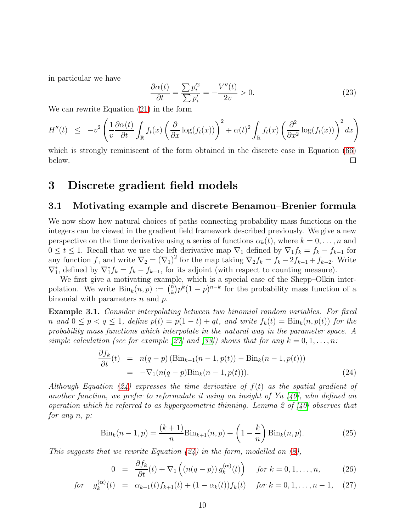in particular we have

$$
\frac{\partial \alpha(t)}{\partial t} = \frac{\sum p_i'^2}{\sum p_i'} = -\frac{V''(t)}{2v} > 0. \tag{23}
$$

We can rewrite Equation [\(21\)](#page-8-0) in the form

$$
H''(t) \leq -v^2 \left( \frac{1}{v} \frac{\partial \alpha(t)}{\partial t} \int_{\mathbb{R}} f_t(x) \left( \frac{\partial}{\partial x} \log(f_t(x)) \right)^2 + \alpha(t)^2 \int_{\mathbb{R}} f_t(x) \left( \frac{\partial^2}{\partial x^2} \log(f_t(x)) \right)^2 dx \right)
$$

which is strongly reminiscent of the form obtained in the discrete case in Equation [\(66\)](#page-20-0) below.  $\Box$ 

## <span id="page-9-0"></span>3 Discrete gradient field models

### 3.1 Motivating example and discrete Benamou–Brenier formula

We now show how natural choices of paths connecting probability mass functions on the integers can be viewed in the gradient field framework described previously. We give a new perspective on the time derivative using a series of functions  $\alpha_k(t)$ , where  $k = 0, \ldots, n$  and  $0 \leq t \leq 1$ . Recall that we use the left derivative map  $\nabla_1$  defined by  $\nabla_1 f_k = f_k - f_{k-1}$  for any function f, and write  $\nabla_2 = (\nabla_1)^2$  for the map taking  $\nabla_2 f_k = f_k - 2f_{k-1} + f_{k-2}$ . Write  $\nabla_1^*$ , defined by  $\nabla_1^* f_k = f_k - f_{k+1}$ , for its adjoint (with respect to counting measure).

We first give a motivating example, which is a special case of the Shepp–Olkin interpolation. We write  $\text{Bin}_k(n, p) := \binom{n}{k}$  $\sum_{k=0}^{n} p^k (1-p)^{n-k}$  for the probability mass function of a binomial with parameters  $n$  and  $p$ .

<span id="page-9-1"></span>Example 3.1. Consider interpolating between two binomial random variables. For fixed n and  $0 \le p < q \le 1$ , define  $p(t) = p(1-t) + qt$ , and write  $f_k(t) = \text{Bin}_k(n, p(t))$  for the probability mass functions which interpolate in the natural way in the parameter space. A simple calculation (see for example [\[27\]](#page-30-6) and [\[33\]](#page-31-4)) shows that for any  $k = 0, 1, \ldots, n$ :

<span id="page-9-2"></span>
$$
\frac{\partial f_k}{\partial t}(t) = n(q-p) \left( \text{Bin}_{k-1}(n-1, p(t)) - \text{Bin}_k(n-1, p(t)) \right) \n= -\nabla_1(n(q-p)\text{Bin}_k(n-1, p(t))).
$$
\n(24)

Although Equation [\(24\)](#page-9-2) expresses the time derivative of  $f(t)$  as the spatial gradient of another function, we prefer to reformulate it using an insight of Yu  $(40)$ , who defined an operation which he referred to as hypergeometric thinning. Lemma 2 of  $[40]$  observes that for any n, p:

$$
Bin_k(n-1, p) = \frac{(k+1)}{n} Bin_{k+1}(n, p) + \left(1 - \frac{k}{n}\right) Bin_k(n, p).
$$
 (25)

This suggests that we rewrite Equation  $(24)$  in the form, modelled on  $(8)$ ,

<span id="page-9-3"></span>
$$
0 = \frac{\partial f_k}{\partial t}(t) + \nabla_1\left(\left(n(q-p)\right)g_k^{(\alpha)}(t)\right) \quad \text{for } k = 0, 1, \dots, n,
$$
 (26)

$$
for \quad g_k^{(\alpha)}(t) = \alpha_{k+1}(t) f_{k+1}(t) + (1 - \alpha_k(t)) f_k(t) \quad \text{for } k = 0, 1, \dots, n-1, \quad (27)
$$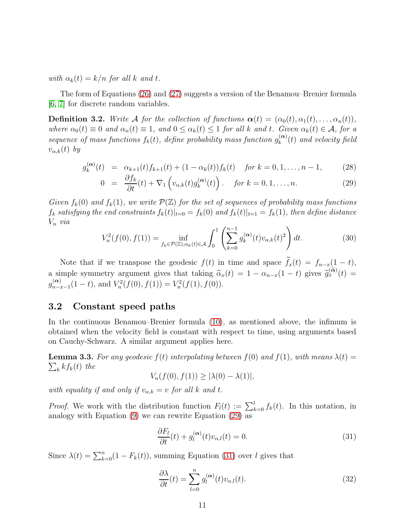with  $\alpha_k(t) = k/n$  for all k and t.

The form of Equations [\(26\)](#page-9-3) and [\(27\)](#page-9-3) suggests a version of the Benamou–Brenier formula [\[6,](#page-29-0) [7\]](#page-29-1) for discrete random variables.

<span id="page-10-0"></span>**Definition 3.2.** Write A for the collection of functions  $\alpha(t) = (\alpha_0(t), \alpha_1(t), \ldots, \alpha_n(t)),$ where  $\alpha_0(t) \equiv 0$  and  $\alpha_n(t) \equiv 1$ , and  $0 \leq \alpha_k(t) \leq 1$  for all k and t. Given  $\alpha_k(t) \in \mathcal{A}$ , for a sequence of mass functions  $f_k(t)$ , define probability mass function  $g_k^{(\alpha)}$  $\int_{k}^{(\boldsymbol{\alpha})}(t)$  and velocity field  $v_{\alpha,k}(t)$  by

<span id="page-10-1"></span>
$$
g_k^{(\alpha)}(t) = \alpha_{k+1}(t) f_{k+1}(t) + (1 - \alpha_k(t)) f_k(t) \quad \text{for } k = 0, 1, \dots, n-1,
$$
 (28)

$$
0 = \frac{\partial f_k}{\partial t}(t) + \nabla_1 \left( v_{\alpha,k}(t) g_k^{(\alpha)}(t) \right). \quad \text{for } k = 0, 1, \dots, n. \tag{29}
$$

Given  $f_k(0)$  and  $f_k(1)$ , we write  $\mathcal{P}(\mathbb{Z})$  for the set of sequences of probability mass functions  $f_k$  satisfying the end constraints  $f_k(t)|_{t=0} = f_k(0)$  and  $f_k(t)|_{t=1} = f_k(1)$ , then define distance  $V_n$  via

<span id="page-10-3"></span>
$$
V_n^2(f(0), f(1)) = \inf_{f_k \in \mathcal{P}(\mathbb{Z}), \alpha_k(t) \in \mathcal{A}} \int_0^1 \left( \sum_{k=0}^{n-1} g_k^{(\alpha)}(t) v_{\alpha,k}(t)^2 \right) dt.
$$
 (30)

Note that if we transpose the geodesic  $f(t)$  in time and space  $\tilde{f}_x(t) = f_{n-x}(1-t)$ , a simple symmetry argument gives that taking  $\tilde{\alpha}_x(t) = 1 - \alpha_{n-x}(1-t)$  gives  $\tilde{g}_x^{(\tilde{\alpha})}(t) =$  $g_{n-i}^{(\boldsymbol{\alpha})}$  $\sum_{n=x-1}^{(\alpha)} (1-t)$ , and  $V_n^2(f(0), f(1)) = V_n^2(f(1), f(0))$ .

### 3.2 Constant speed paths

In the continuous Benamou–Brenier formula [\(10\)](#page-5-0), as mentioned above, the infimum is obtained when the velocity field is constant with respect to time, using arguments based on Cauchy-Schwarz. A similar argument applies here.

<span id="page-10-4"></span>**Lemma 3.3.** For any geodesic  $f(t)$  interpolating between  $f(0)$  and  $f(1)$ , with means  $\lambda(t)$  =  $\sum_{k} k f_k(t)$  the

$$
V_n(f(0), f(1)) \geq |\lambda(0) - \lambda(1)|,
$$

with equality if and only if  $v_{\alpha,k} = v$  for all k and t.

*Proof.* We work with the distribution function  $F_l(t) := \sum_{k=0}^l f_k(t)$ . In this notation, in analogy with Equation [\(9\)](#page-5-4) we can rewrite Equation [\(29\)](#page-10-1) as

<span id="page-10-2"></span>
$$
\frac{\partial F_l}{\partial t}(t) + g_l^{(\alpha)}(t)v_{\alpha,l}(t) = 0.
$$
\n(31)

Since  $\lambda(t) = \sum_{k=0}^{n} (1 - F_k(t))$ , summing Equation [\(31\)](#page-10-2) over l gives that

<span id="page-10-5"></span>
$$
\frac{\partial \lambda}{\partial t}(t) = \sum_{l=0}^{n} g_l^{(\alpha)}(t) v_{\alpha,l}(t).
$$
\n(32)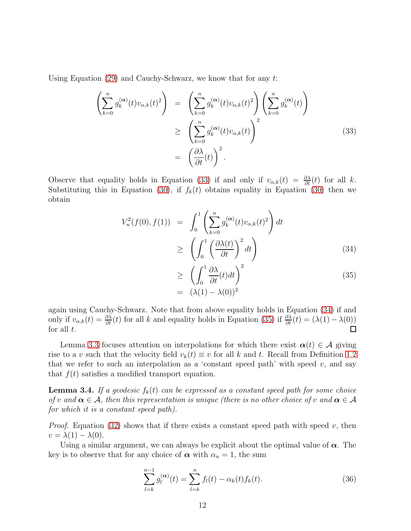Using Equation  $(29)$  and Cauchy-Schwarz, we know that for any t:

<span id="page-11-1"></span>
$$
\left(\sum_{k=0}^{n} g_k^{(\alpha)}(t) v_{\alpha,k}(t)^2\right) = \left(\sum_{k=0}^{n} g_k^{(\alpha)}(t) v_{\alpha,k}(t)^2\right) \left(\sum_{k=0}^{n} g_k^{(\alpha)}(t)\right)
$$
\n
$$
\geq \left(\sum_{k=0}^{n} g_k^{(\alpha)}(t) v_{\alpha,k}(t)\right)^2
$$
\n
$$
= \left(\frac{\partial \lambda}{\partial t}(t)\right)^2.
$$
\n(33)

Observe that equality holds in Equation [\(33\)](#page-11-1) if and only if  $v_{\alpha,k}(t) = \frac{\partial \lambda}{\partial t}(t)$  for all k. Substituting this in Equation [\(30\)](#page-10-3), if  $f_k(t)$  obtains equality in Equation (30) then we obtain

<span id="page-11-2"></span>
$$
V_n^2(f(0), f(1)) = \int_0^1 \left( \sum_{k=0}^n g_k^{(\alpha)}(t) v_{\alpha,k}(t)^2 \right) dt
$$
  
 
$$
\geq \left( \int_0^1 \left( \frac{\partial \lambda(t)}{\partial t} \right)^2 dt \right)
$$
(34)

$$
\geq \left( \int_0^1 \frac{\partial \lambda}{\partial t}(t) dt \right)^2
$$
\n
$$
= (\lambda(1) - \lambda(0))^2
$$
\n(35)

again using Cauchy-Schwarz. Note that from above equality holds in Equation [\(34\)](#page-11-2) if and only if  $v_{\alpha,k}(t) = \frac{\partial \lambda}{\partial t}(t)$  for all k and equality holds in Equation [\(35\)](#page-11-2) if  $\frac{\partial \lambda}{\partial t}(t) = (\lambda(1) - \lambda(0))$ for all  $t$ .

Lemma [3.3](#page-10-4) focuses attention on interpolations for which there exist  $\alpha(t) \in \mathcal{A}$  giving rise to a v such that the velocity field  $v_k(t) \equiv v$  for all k and t. Recall from Definition [1.2](#page-2-1) that we refer to such an interpolation as a 'constant speed path' with speed  $v$ , and say that  $f(t)$  satisfies a modified transport equation.

<span id="page-11-0"></span>**Lemma 3.4.** If a geodesic  $f_k(t)$  can be expressed as a constant speed path for some choice of v and  $\alpha \in \mathcal{A}$ , then this representation is unique (there is no other choice of v and  $\alpha \in \mathcal{A}$ for which it is a constant speed path).

*Proof.* Equation [\(32\)](#page-10-5) shows that if there exists a constant speed path with speed v, then  $v = \lambda(1) - \lambda(0)$ .

Using a similar argument, we can always be explicit about the optimal value of  $\alpha$ . The key is to observe that for any choice of  $\alpha$  with  $\alpha_n = 1$ , the sum

<span id="page-11-3"></span>
$$
\sum_{l=k}^{n-1} g_l^{(\alpha)}(t) = \sum_{l=k}^{n} f_l(t) - \alpha_k(t) f_k(t).
$$
 (36)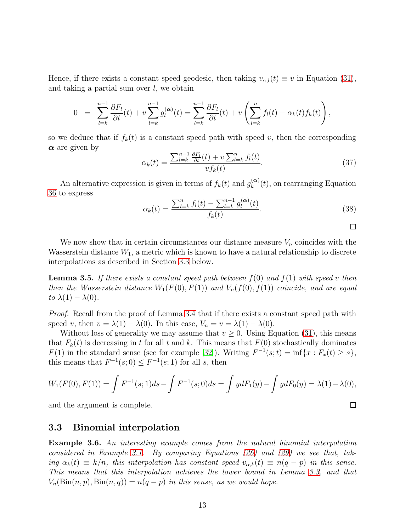Hence, if there exists a constant speed geodesic, then taking  $v_{\alpha,l}(t) \equiv v$  in Equation [\(31\)](#page-10-2), and taking a partial sum over  $l$ , we obtain

$$
0 = \sum_{l=k}^{n-1} \frac{\partial F_l}{\partial t}(t) + v \sum_{l=k}^{n-1} g_l^{(\alpha)}(t) = \sum_{l=k}^{n-1} \frac{\partial F_l}{\partial t}(t) + v \left( \sum_{l=k}^n f_l(t) - \alpha_k(t) f_k(t) \right),
$$

so we deduce that if  $f_k(t)$  is a constant speed path with speed v, then the corresponding  $\alpha$  are given by

$$
\alpha_k(t) = \frac{\sum_{l=k}^{n-1} \frac{\partial F_l}{\partial t}(t) + v \sum_{l=k}^n f_l(t)}{v f_k(t)}.
$$
\n(37)

An alternative expression is given in terms of  $f_k(t)$  and  $g_k^{(\alpha)}$  $\binom{\alpha}{k}(t)$ , on rearranging Equation [36](#page-11-3) to express

<span id="page-12-3"></span>
$$
\alpha_k(t) = \frac{\sum_{l=k}^n f_l(t) - \sum_{l=k}^{n-1} g_l^{(\alpha)}(t)}{f_k(t)}.
$$
\n(38)

 $\Box$ 

 $\Box$ 

We now show that in certain circumstances our distance measure  $V_n$  coincides with the Wasserstein distance  $W_1$ , a metric which is known to have a natural relationship to discrete interpolations as described in Section [3.3](#page-12-0) below.

<span id="page-12-2"></span>**Lemma 3.5.** If there exists a constant speed path between  $f(0)$  and  $f(1)$  with speed v then then the Wasserstein distance  $W_1(F(0), F(1))$  and  $V_n(f(0), f(1))$  coincide, and are equal to  $\lambda(1) - \lambda(0)$ .

Proof. Recall from the proof of Lemma [3.4](#page-11-0) that if there exists a constant speed path with speed v, then  $v = \lambda(1) - \lambda(0)$ . In this case,  $V_n = v = \lambda(1) - \lambda(0)$ .

Without loss of generality we may assume that  $v \geq 0$ . Using Equation [\(31\)](#page-10-2), this means that  $F_k(t)$  is decreasing in t for all t and k. This means that  $F(0)$  stochastically dominates  $F(1)$  in the standard sense (see for example [\[32\]](#page-31-11)). Writing  $F^{-1}(s;t) = \inf\{x : F_x(t) \geq s\},\$ this means that  $F^{-1}(s; 0) \leq F^{-1}(s; 1)$  for all s, then

$$
W_1(F(0), F(1)) = \int F^{-1}(s; 1)ds - \int F^{-1}(s; 0)ds = \int ydF_1(y) - \int ydF_0(y) = \lambda(1) - \lambda(0),
$$

<span id="page-12-0"></span>and the argument is complete.

#### 3.3 Binomial interpolation

<span id="page-12-1"></span>Example 3.6. An interesting example comes from the natural binomial interpolation considered in Example [3.1.](#page-9-1) By comparing Equations [\(26\)](#page-9-3) and [\(29\)](#page-10-1) we see that, taking  $\alpha_k(t) \equiv k/n$ , this interpolation has constant speed  $v_{\alpha,k}(t) \equiv n(q-p)$  in this sense. This means that this interpolation achieves the lower bound in Lemma [3.3,](#page-10-4) and that  $V_n(\text{Bin}(n, p), \text{Bin}(n, q)) = n(q - p)$  in this sense, as we would hope.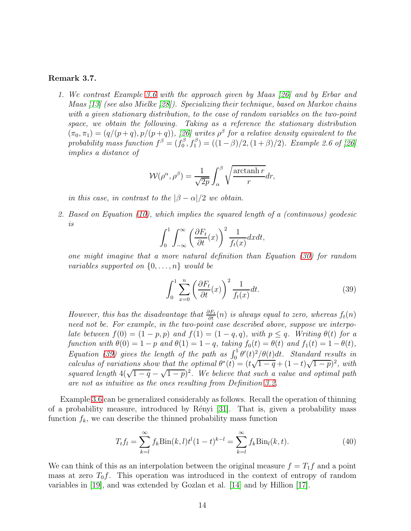#### Remark 3.7.

1. We contrast Example [3.6](#page-12-1) with the approach given by Maas [\[26\]](#page-30-7) and by Erbar and Maas [\[13\]](#page-29-9) (see also Mielke [\[28\]](#page-30-8)). Specializing their technique, based on Markov chains with a given stationary distribution, to the case of random variables on the two-point space, we obtain the following. Taking as a reference the stationary distribution  $(\pi_0, \pi_1) = (q/(p+q), p/(p+q))$ , [\[26\]](#page-30-7) writes  $\rho^{\beta}$  for a relative density equivalent to the probability mass function  $f^{\beta} = (f_0^{\beta})$  $\binom{\beta}{0}, f_1^{\beta} = ((1 - \beta)/2, (1 + \beta)/2)$ . Example 2.6 of [\[26\]](#page-30-7) implies a distance of

$$
W(\rho^{\alpha}, \rho^{\beta}) = \frac{1}{\sqrt{2p}} \int_{\alpha}^{\beta} \sqrt{\frac{\arctanh r}{r}} dr,
$$

in this case, in contrast to the  $\beta - \alpha/2$  we obtain.

2. Based on Equation [\(10\)](#page-5-0), which implies the squared length of a (continuous) geodesic is

$$
\int_0^1 \int_{-\infty}^\infty \left(\frac{\partial F_t}{\partial t}(x)\right)^2 \frac{1}{f_t(x)} dx dt,
$$

one might imagine that a more natural definition than Equation [\(30\)](#page-10-3) for random variables supported on  $\{0, \ldots, n\}$  would be

<span id="page-13-1"></span>
$$
\int_0^1 \sum_{x=0}^n \left(\frac{\partial F_t}{\partial t}(x)\right)^2 \frac{1}{f_t(x)} dt.
$$
\n(39)

However, this has the disadvantage that  $\frac{\partial F_t}{\partial t}(n)$  is always equal to zero, whereas  $f_t(n)$ need not be. For example, in the two-point case described above, suppose we interpolate between  $f(0) = (1 - p, p)$  and  $f(1) = (1 - q, q)$ , with  $p \leq q$ . Writing  $\theta(t)$  for a function with  $\theta(0) = 1 - p$  and  $\theta(1) = 1 - q$ , taking  $f_0(t) = \theta(t)$  and  $f_1(t) = 1 - \theta(t)$ , Equation [\(39\)](#page-13-1) gives the length of the path as  $\int_0^1 \theta'(t)^2/\theta(t)dt$ . Standard results in calculus of variations show that the optimal  $\theta^*(t) = (t\sqrt{1-q} + (1-t)\sqrt{1-p})^2$ , with squared length  $4(\sqrt{1-q} - \sqrt{1-p})^2$ . We believe that such a value and optimal path are not as intuitive as the ones resulting from Definition [3.2.](#page-10-0)

Example [3.6](#page-12-1) can be generalized considerably as follows. Recall the operation of thinning of a probability measure, introduced by Rényi [\[31\]](#page-31-6). That is, given a probability mass function  $f_k$ , we can describe the thinned probability mass function

<span id="page-13-0"></span>
$$
T_t f_l = \sum_{k=l}^{\infty} f_k \text{Bin}(k, l) t^l (1-t)^{k-l} = \sum_{k=l}^{\infty} f_k \text{Bin}_l(k, t).
$$
 (40)

We can think of this as an interpolation between the original measure  $f = T_1 f$  and a point mass at zero  $T_0f$ . This operation was introduced in the context of entropy of random variables in [\[19\]](#page-30-9), and was extended by Gozlan et al. [\[14\]](#page-30-10) and by Hillion [\[17\]](#page-30-11).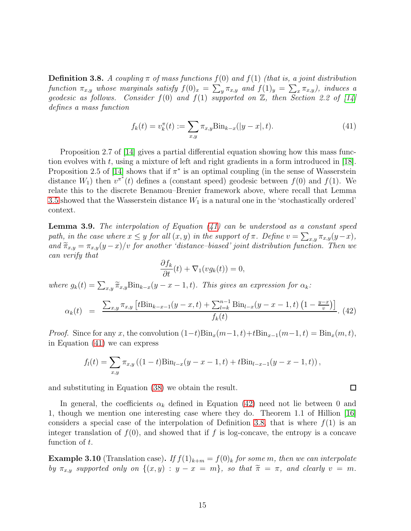<span id="page-14-3"></span>**Definition 3.8.** A coupling  $\pi$  of mass functions  $f(0)$  and  $f(1)$  (that is, a joint distribution function  $\pi_{x,y}$  whose marginals satisfy  $f(0)_x = \sum_y \pi_{x,y}$  and  $f(1)_y = \sum_x \pi_{x,y}$ , induces a geodesic as follows. Consider  $f(0)$  and  $f(1)$  supported on  $\mathbb{Z}$ , then Section 2.2 of [\[14\]](#page-30-10) defines a mass function

<span id="page-14-1"></span>
$$
f_k(t) = v_k^{\pi}(t) := \sum_{x,y} \pi_{x,y} \text{Bin}_{k-x}(|y-x|, t).
$$
 (41)

Proposition 2.7 of [\[14\]](#page-30-10) gives a partial differential equation showing how this mass function evolves with t, using a mixture of left and right gradients in a form introduced in [\[18\]](#page-30-12). Proposition 2.5 of [\[14\]](#page-30-10) shows that if  $\pi^*$  is an optimal coupling (in the sense of Wasserstein distance  $W_1$ ) then  $v^{\pi^*}(t)$  defines a (constant speed) geodesic between  $f(0)$  and  $f(1)$ . We relate this to the discrete Benamou–Brenier framework above, where recall that Lemma [3.5](#page-12-2) showed that the Wasserstein distance  $W_1$  is a natural one in the 'stochastically ordered' context.

**Lemma 3.9.** The interpolation of Equation  $(41)$  can be understood as a constant speed path, in the case where  $x \leq y$  for all  $(x, y)$  in the support of  $\pi$ . Define  $v = \sum_{x,y} \pi_{x,y}(y-x)$ , and  $\widetilde{\pi}_{x,y} = \pi_{x,y}(y-x)/v$  for another 'distance-biased' joint distribution function. Then we can verify that

$$
\frac{\partial f_k}{\partial t}(t) + \nabla_1(vg_k(t)) = 0,
$$

where  $g_k(t) = \sum_{x,y} \tilde{\pi}_{x,y} \text{Bin}_{k-x}(y-x-1,t)$ . This gives an expression for  $\alpha_k$ :

<span id="page-14-2"></span>
$$
\alpha_k(t) = \frac{\sum_{x,y} \pi_{x,y} \left[ t \text{Bin}_{k-x-1}(y-x,t) + \sum_{l=k}^{n-1} \text{Bin}_{l-x}(y-x-1,t) \left( 1 - \frac{y-x}{v} \right) \right]}{f_k(t)}.
$$
(42)

*Proof.* Since for any x, the convolution  $(1-t)Bin_x(m-1, t)+tBin_{x-1}(m-1, t) = Bin_x(m, t)$ , in Equation [\(41\)](#page-14-1) we can express

$$
f_l(t) = \sum_{x,y} \pi_{x,y} ((1-t) \text{Bin}_{l-x}(y-x-1,t) + t \text{Bin}_{l-x-1}(y-x-1,t)),
$$

and substituting in Equation [\(38\)](#page-12-3) we obtain the result.

In general, the coefficients  $\alpha_k$  defined in Equation [\(42\)](#page-14-2) need not lie between 0 and 1, though we mention one interesting case where they do. Theorem 1.1 of Hillion [\[16\]](#page-30-2) considers a special case of the interpolation of Definition [3.8,](#page-14-3) that is where  $f(1)$  is an integer translation of  $f(0)$ , and showed that if f is log-concave, the entropy is a concave function of t.

<span id="page-14-0"></span>**Example 3.10** (Translation case). If  $f(1)_{k+m} = f(0)_k$  for some m, then we can interpolate by  $\pi_{x,y}$  supported only on  $\{(x,y) : y - x = m\}$ , so that  $\widetilde{\pi} = \pi$ , and clearly  $v = m$ .

 $\Box$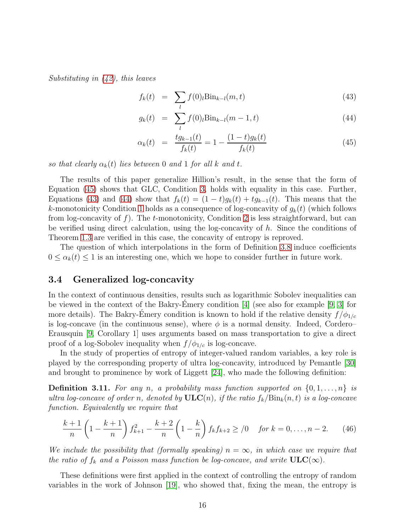Substituting in [\(42\)](#page-14-2), this leaves

<span id="page-15-1"></span>
$$
f_k(t) = \sum_l f(0)_l \text{Bin}_{k-l}(m, t) \tag{43}
$$

$$
g_k(t) = \sum_l f(0) \cdot \text{Bin}_{k-l}(m-1, t) \tag{44}
$$

$$
\alpha_k(t) = \frac{tg_{k-1}(t)}{f_k(t)} = 1 - \frac{(1-t)g_k(t)}{f_k(t)}
$$
\n(45)

so that clearly  $\alpha_k(t)$  lies between 0 and 1 for all k and t.

The results of this paper generalize Hillion's result, in the sense that the form of Equation [\(45\)](#page-15-1) shows that GLC, Condition [3,](#page-3-1) holds with equality in this case. Further, Equations [\(43\)](#page-15-1) and [\(44\)](#page-15-1) show that  $f_k(t) = (1-t)g_k(t) + tg_{k-1}(t)$ . This means that the k-monotonicity Condition [1](#page-2-0) holds as a consequence of log-concavity of  $g_k(t)$  (which follows from log-concavity of f). The t-monotonicity, Condition [2](#page-3-0) is less straightforward, but can be verified using direct calculation, using the log-concavity of  $h$ . Since the conditions of Theorem [1.3](#page-3-2) are verified in this case, the concavity of entropy is reproved.

The question of which interpolations in the form of Definition [3.8](#page-14-3) induce coefficients  $0 \leq \alpha_k(t) \leq 1$  is an interesting one, which we hope to consider further in future work.

#### 3.4 Generalized log-concavity

In the context of continuous densities, results such as logarithmic Sobolev inequalities can be viewed in the context of the Bakry-Emery condition  $[4]$  (see also for example  $[9, 3]$  $[9, 3]$  for more details). The Bakry-Emery condition is known to hold if the relative density  $f/\phi_{1/c}$ is log-concave (in the continuous sense), where  $\phi$  is a normal density. Indeed, Cordero– Erausquin [\[9,](#page-29-4) Corollary 1] uses arguments based on mass transportation to give a direct proof of a log-Sobolev inequality when  $f/\phi_{1/c}$  is log-concave.

In the study of properties of entropy of integer-valued random variables, a key role is played by the corresponding property of ultra log-concavity, introduced by Pemantle [\[30\]](#page-31-7) and brought to prominence by work of Liggett [\[24\]](#page-30-3), who made the following definition:

<span id="page-15-0"></span>**Definition 3.11.** For any n, a probability mass function supported on  $\{0, 1, \ldots, n\}$  is ultra log-concave of order n, denoted by  $\text{ULC}(n)$ , if the ratio  $f_k/\text{Bin}_k(n,t)$  is a log-concave function. Equivalently we require that

<span id="page-15-2"></span>
$$
\frac{k+1}{n}\left(1-\frac{k+1}{n}\right)f_{k+1}^2 - \frac{k+2}{n}\left(1-\frac{k}{n}\right)f_kf_{k+2} \geq /0 \quad \text{for } k=0,\ldots,n-2. \tag{46}
$$

We include the possibility that (formally speaking)  $n = \infty$ , in which case we require that the ratio of  $f_k$  and a Poisson mass function be log-concave, and write  $ULC(\infty)$ .

These definitions were first applied in the context of controlling the entropy of random variables in the work of Johnson [\[19\]](#page-30-9), who showed that, fixing the mean, the entropy is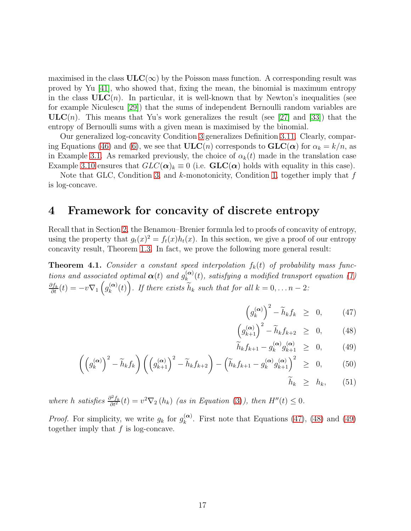maximised in the class  $ULC(\infty)$  by the Poisson mass function. A corresponding result was proved by Yu [\[41\]](#page-31-12), who showed that, fixing the mean, the binomial is maximum entropy in the class  $ULC(n)$ . In particular, it is well-known that by Newton's inequalities (see for example Niculescu [\[29\]](#page-30-13)) that the sums of independent Bernoulli random variables are  $ULC(n)$ . This means that Yu's work generalizes the result (see [\[27\]](#page-30-6) and [\[33\]](#page-31-4)) that the entropy of Bernoulli sums with a given mean is maximised by the binomial.

Our generalized log-concavity Condition [3](#page-3-1) generalizes Definition [3.11.](#page-15-0) Clearly, compar-ing Equations [\(46\)](#page-15-2) and [\(6\)](#page-3-3), we see that  $ULC(n)$  corresponds to  $GLC(\alpha)$  for  $\alpha_k = k/n$ , as in Example [3.1.](#page-9-1) As remarked previously, the choice of  $\alpha_k(t)$  made in the translation case Example [3.10](#page-14-0) ensures that  $GLC(\alpha)_k \equiv 0$  (i.e.  $GLC(\alpha)$  holds with equality in this case).

Note that GLC, Condition [3,](#page-3-1) and  $k$ -monotonicity, Condition [1,](#page-2-0) together imply that  $f$ is log-concave.

### <span id="page-16-0"></span>4 Framework for concavity of discrete entropy

Recall that in Section [2,](#page-4-0) the Benamou–Brenier formula led to proofs of concavity of entropy, using the property that  $g_t(x)^2 = f_t(x)h_t(x)$ . In this section, we give a proof of our entropy concavity result, Theorem [1.3.](#page-3-2) In fact, we prove the following more general result:

<span id="page-16-2"></span>**Theorem 4.1.** Consider a constant speed interpolation  $f_k(t)$  of probability mass functions and associated optimal  $\boldsymbol{\alpha}(t)$  and  $g_k^{(\boldsymbol{\alpha})}$  $\binom{(\alpha)}{k}(t)$ , satisfying a modified transport equation [\(1\)](#page-2-2)  $\frac{\partial f_k}{\partial t}(t) = -v \nabla_1 \left( g_k^{(\alpha)} \right)$  $\widetilde{k}_{k}(t)$ . If there exists  $\widetilde{h}_{k}$  such that for all  $k = 0, \ldots n-2$ :

<span id="page-16-1"></span>
$$
\left(g_k^{(\alpha)}\right)^2 - \widetilde{h}_k f_k \geq 0, \qquad (47)
$$

$$
\left(g_{k+1}^{(\alpha)}\right)^2 - \widetilde{h}_k f_{k+2} \geq 0, \qquad (48)
$$

$$
\widetilde{h}_k f_{k+1} - g_k^{(\alpha)} g_{k+1}^{(\alpha)} \geq 0, \qquad (49)
$$

$$
\left(\left(g_k^{(\alpha)}\right)^2 - \widetilde{h}_k f_k\right) \left(\left(g_{k+1}^{(\alpha)}\right)^2 - \widetilde{h}_k f_{k+2}\right) - \left(\widetilde{h}_k f_{k+1} - g_k^{(\alpha)} g_{k+1}^{(\alpha)}\right)^2 \geq 0, \quad (50)
$$

 $\widetilde{h}_k \geq h_k$ , (51)

where h satisfies  $\frac{\partial^2 f_k}{\partial t^2}(t) = v^2 \nabla_2(h_k)$  (as in Equation [\(3\)](#page-2-3)), then  $H''(t) \leq 0$ .

*Proof.* For simplicity, we write  $g_k$  for  $g_k^{(\alpha)}$  $\binom{\alpha}{k}$ . First note that Equations [\(47\)](#page-16-1), [\(48\)](#page-16-1) and [\(49\)](#page-16-1) together imply that  $f$  is log-concave.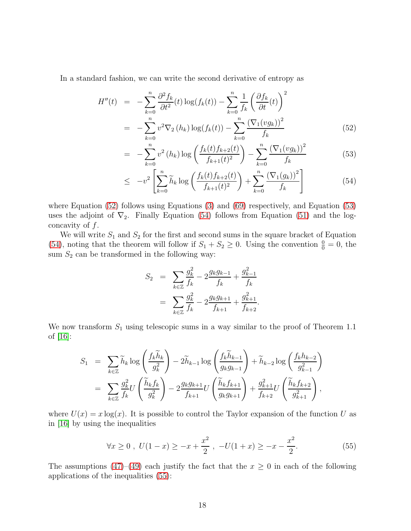In a standard fashion, we can write the second derivative of entropy as

<span id="page-17-0"></span>
$$
H''(t) = -\sum_{k=0}^{n} \frac{\partial^2 f_k}{\partial t^2}(t) \log(f_k(t)) - \sum_{k=0}^{n} \frac{1}{f_k} \left(\frac{\partial f_k}{\partial t}(t)\right)^2
$$
  
= 
$$
-\sum_{k=0}^{n} v^2 \nabla_2 (h_k) \log(f_k(t)) - \sum_{k=0}^{n} \frac{(\nabla_1(vg_k))^2}{f_k}
$$
(52)

$$
= -\sum_{k=0}^{n} v^{2} (h_{k}) \log \left( \frac{f_{k}(t) f_{k+2}(t)}{f_{k+1}(t)^{2}} \right) - \sum_{k=0}^{n} \frac{\left(\nabla_{1}(vg_{k})\right)^{2}}{f_{k}} \tag{53}
$$

$$
\leq -v^2 \left[ \sum_{k=0}^n \widetilde{h}_k \log \left( \frac{f_k(t) f_{k+2}(t)}{f_{k+1}(t)^2} \right) + \sum_{k=0}^n \frac{(\nabla_1(g_k))^2}{f_k} \right] \tag{54}
$$

where Equation [\(52\)](#page-17-0) follows using Equations [\(3\)](#page-2-3) and [\(69\)](#page-21-1) respectively, and Equation [\(53\)](#page-17-0) uses the adjoint of  $\nabla_2$ . Finally Equation [\(54\)](#page-17-0) follows from Equation [\(51\)](#page-16-1) and the logconcavity of  $f$ .

We will write  $S_1$  and  $S_2$  for the first and second sums in the square bracket of Equation [\(54\)](#page-17-0), noting that the theorem will follow if  $S_1 + S_2 \ge 0$ . Using the convention  $\frac{0}{0} = 0$ , the sum  $S_2$  can be transformed in the following way:

$$
S_2 = \sum_{k \in \mathbb{Z}} \frac{g_k^2}{f_k} - 2 \frac{g_k g_{k-1}}{f_k} + \frac{g_{k-1}^2}{f_k}
$$
  
= 
$$
\sum_{k \in \mathbb{Z}} \frac{g_k^2}{f_k} - 2 \frac{g_k g_{k+1}}{f_{k+1}} + \frac{g_{k+1}^2}{f_{k+2}}.
$$

We now transform  $S_1$  using telescopic sums in a way similar to the proof of Theorem 1.1 of [\[16\]](#page-30-2):

$$
S_1 = \sum_{k \in \mathbb{Z}} \widetilde{h}_k \log \left( \frac{f_k \widetilde{h}_k}{g_k^2} \right) - 2 \widetilde{h}_{k-1} \log \left( \frac{f_k \widetilde{h}_{k-1}}{g_k g_{k-1}} \right) + \widetilde{h}_{k-2} \log \left( \frac{f_k h_{k-2}}{g_{k-1}^2} \right)
$$
  
= 
$$
\sum_{k \in \mathbb{Z}} \frac{g_k^2}{f_k} U \left( \frac{\widetilde{h}_k f_k}{g_k^2} \right) - 2 \frac{g_k g_{k+1}}{f_{k+1}} U \left( \frac{\widetilde{h}_k f_{k+1}}{g_k g_{k+1}} \right) + \frac{g_{k+1}^2}{f_{k+2}} U \left( \frac{\widetilde{h}_k f_{k+2}}{g_{k+1}^2} \right),
$$

where  $U(x) = x \log(x)$ . It is possible to control the Taylor expansion of the function U as in [\[16\]](#page-30-2) by using the inequalities

<span id="page-17-1"></span>
$$
\forall x \ge 0 \ , \ U(1-x) \ge -x + \frac{x^2}{2} \ , \ -U(1+x) \ge -x - \frac{x^2}{2}.\tag{55}
$$

The assumptions [\(47\)](#page-16-1)–[\(49\)](#page-16-1) each justify the fact that the  $x \geq 0$  in each of the following applications of the inequalities [\(55\)](#page-17-1):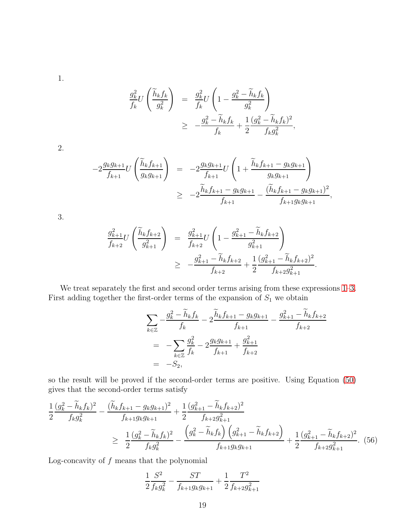<span id="page-18-0"></span>1.

$$
\frac{g_k^2}{f_k} U\left(\frac{\widetilde{h}_k f_k}{g_k^2}\right) = \frac{g_k^2}{f_k} U\left(1 - \frac{g_k^2 - \widetilde{h}_k f_k}{g_k^2}\right)
$$
\n
$$
\geq -\frac{g_k^2 - \widetilde{h}_k f_k}{f_k} + \frac{1}{2} \frac{(g_k^2 - \widetilde{h}_k f_k)^2}{f_k g_k^2},
$$

2.

$$
-2\frac{g_k g_{k+1}}{f_{k+1}}U\left(\frac{\widetilde{h}_k f_{k+1}}{g_k g_{k+1}}\right) = -2\frac{g_k g_{k+1}}{f_{k+1}}U\left(1 + \frac{\widetilde{h}_k f_{k+1} - g_k g_{k+1}}{g_k g_{k+1}}\right)
$$
  

$$
\geq -2\frac{\widetilde{h}_k f_{k+1} - g_k g_{k+1}}{f_{k+1}} - \frac{(\widetilde{h}_k f_{k+1} - g_k g_{k+1})^2}{f_{k+1} g_k g_{k+1}},
$$

<span id="page-18-1"></span>3.

$$
\frac{g_{k+1}^2}{f_{k+2}}U\left(\frac{\widetilde{h}_k f_{k+2}}{g_{k+1}^2}\right) = \frac{g_{k+1}^2}{f_{k+2}}U\left(1 - \frac{g_{k+1}^2 - \widetilde{h}_k f_{k+2}}{g_{k+1}^2}\right)
$$
  
\n
$$
\geq -\frac{g_{k+1}^2 - \widetilde{h}_k f_{k+2}}{f_{k+2}} + \frac{1}{2}\frac{(g_{k+1}^2 - \widetilde{h}_k f_{k+2})^2}{f_{k+2}g_{k+1}^2}.
$$

We treat separately the first and second order terms arising from these expressions [1–](#page-18-0)[3.](#page-18-1) First adding together the first-order terms of the expansion of  $S_1$  we obtain

$$
\sum_{k \in \mathbb{Z}} -\frac{g_k^2 - \widetilde{h}_k f_k}{f_k} - 2 \frac{\widetilde{h}_k f_{k+1} - g_k g_{k+1}}{f_{k+1}} - \frac{g_{k+1}^2 - \widetilde{h}_k f_{k+2}}{f_{k+2}}
$$
  
= 
$$
-\sum_{k \in \mathbb{Z}} \frac{g_k^2}{f_k} - 2 \frac{g_k g_{k+1}}{f_{k+1}} + \frac{g_{k+1}^2}{f_{k+2}}
$$
  
= 
$$
-S_2,
$$

so the result will be proved if the second-order terms are positive. Using Equation [\(50\)](#page-16-1) gives that the second-order terms satisfy

<span id="page-18-2"></span>
$$
\frac{1}{2} \frac{(g_k^2 - \widetilde{h}_k f_k)^2}{f_k g_k^2} - \frac{(\widetilde{h}_k f_{k+1} - g_k g_{k+1})^2}{f_{k+1} g_k g_{k+1}} + \frac{1}{2} \frac{(g_{k+1}^2 - \widetilde{h}_k f_{k+2})^2}{f_{k+2} g_{k+1}^2} \n\geq \frac{1}{2} \frac{(g_k^2 - \widetilde{h}_k f_k)^2}{f_k g_k^2} - \frac{\left(g_k^2 - \widetilde{h}_k f_k\right) \left(g_{k+1}^2 - \widetilde{h}_k f_{k+2}\right)}{f_{k+1} g_k g_{k+1}} + \frac{1}{2} \frac{(g_{k+1}^2 - \widetilde{h}_k f_{k+2})^2}{f_{k+2} g_{k+1}^2}.
$$
\n(56)

Log-concavity of  $f$  means that the polynomial

$$
\frac{1}{2} \frac{S^2}{f_k g_k^2} - \frac{ST}{f_{k+1} g_k g_{k+1}} + \frac{1}{2} \frac{T^2}{f_{k+2} g_{k+1}^2}
$$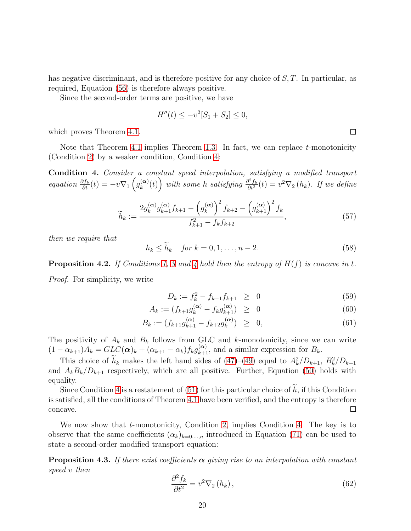has negative discriminant, and is therefore positive for any choice of S, T. In particular, as required, Equation [\(56\)](#page-18-2) is therefore always positive.

Since the second-order terms are positive, we have

$$
H''(t) \le -v^2[S_1 + S_2] \le 0,
$$

which proves Theorem [4.1.](#page-16-2)

Note that Theorem [4.1](#page-16-2) implies Theorem [1.3.](#page-3-2) In fact, we can replace  $t$ -monotonicity (Condition [2\)](#page-3-0) by a weaker condition, Condition [4:](#page-19-1)

<span id="page-19-1"></span>Condition 4. Consider a constant speed interpolation, satisfying a modified transport equation  $\frac{\partial f_k}{\partial t}(t) = -v \nabla_1 \left( g_k^{(\alpha)} \right)$  $\left( \begin{array}{c} (x) \\ k \end{array} \right)$  with some h satisfying  $\frac{\partial^2 f_k}{\partial t^2}(t) = v^2 \nabla_2(h_k)$ . If we define

<span id="page-19-2"></span>
$$
\widetilde{h}_k := \frac{2g_k^{(\alpha)}g_{k+1}^{(\alpha)}f_{k+1} - \left(g_k^{(\alpha)}\right)^2 f_{k+2} - \left(g_{k+1}^{(\alpha)}\right)^2 f_k}{f_{k+1}^2 - f_k f_{k+2}},\tag{57}
$$

then we require that

 $h_k < \widetilde{h}_k$  for  $k = 0, 1, ..., n - 2$ . (58)

<span id="page-19-0"></span>**Proposition [4](#page-19-1).2.** If Conditions [1,](#page-2-0) [3](#page-3-1) and 4 hold then the entropy of  $H(f)$  is concave in t.

Proof. For simplicity, we write

<span id="page-19-3"></span>
$$
D_k := f_k^2 - f_{k-1} f_{k+1} \geq 0 \tag{59}
$$

$$
A_k := (f_{k+1}g_k^{(\alpha)} - f_kg_{k+1}^{(\alpha)}) \ge 0
$$
\n(60)

$$
B_k := (f_{k+1}g_{k+1}^{(\alpha)} - f_{k+2}g_k^{(\alpha)}) \geq 0,
$$
\n(61)

The positivity of  $A_k$  and  $B_k$  follows from GLC and k-monotonicity, since we can write  $(1 - \alpha_{k+1})A_k = GL(\alpha)_k + (\alpha_{k+1} - \alpha_k)f_kg_{k+1}^{(\alpha)}$ , and a similar expression for  $B_k$ .

This choice of  $h_k$  makes the left hand sides of [\(47\)](#page-16-1)–[\(49\)](#page-16-1) equal to  $A_k^2/D_{k+1}$ ,  $B_k^2/D_{k+1}$ and  $A_kB_k/D_{k+1}$  respectively, which are all positive. Further, Equation [\(50\)](#page-16-1) holds with equality.

Since Condition [4](#page-19-1) is a restatement of  $(51)$  for this particular choice of h, if this Condition is satisfied, all the conditions of Theorem [4.1](#page-16-2) have been verified, and the entropy is therefore  $\Box$ concave.

We now show that *t*-monotonicity, Condition [2,](#page-3-0) implies Condition [4.](#page-19-1) The key is to observe that the same coefficients  $(\alpha_k)_{k=0,\dots,n}$  introduced in Equation [\(71\)](#page-21-2) can be used to state a second-order modified transport equation:

**Proposition 4.3.** If there exist coefficients  $\alpha$  giving rise to an interpolation with constant speed v then

$$
\frac{\partial^2 f_k}{\partial t^2} = v^2 \nabla_2 (h_k),\tag{62}
$$

 $\Box$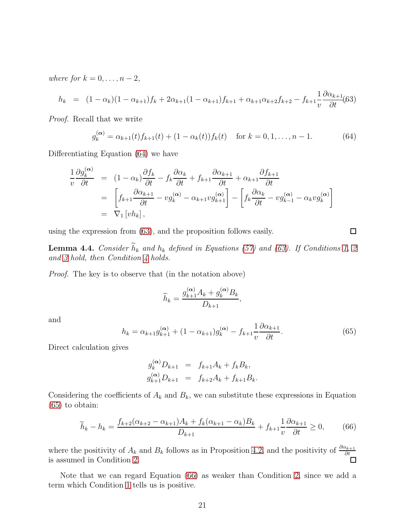where for  $k = 0, \ldots, n-2$ ,

<span id="page-20-2"></span>
$$
h_k = (1 - \alpha_k)(1 - \alpha_{k+1})f_k + 2\alpha_{k+1}(1 - \alpha_{k+1})f_{k+1} + \alpha_{k+1}\alpha_{k+2}f_{k+2} - f_{k+1}\frac{1}{v}\frac{\partial\alpha_{k+1}}{\partial t}(63)
$$

Proof. Recall that we write

<span id="page-20-1"></span>
$$
g_k^{(\alpha)} = \alpha_{k+1}(t) f_{k+1}(t) + (1 - \alpha_k(t)) f_k(t) \quad \text{for } k = 0, 1, ..., n-1.
$$
 (64)

Differentiating Equation [\(64\)](#page-20-1) we have

$$
\frac{1}{v} \frac{\partial g_k^{(\alpha)}}{\partial t} = (1 - \alpha_k) \frac{\partial f_k}{\partial t} - f_k \frac{\partial \alpha_k}{\partial t} + f_{k+1} \frac{\partial \alpha_{k+1}}{\partial t} + \alpha_{k+1} \frac{\partial f_{k+1}}{\partial t}
$$
\n
$$
= \left[ f_{k+1} \frac{\partial \alpha_{k+1}}{\partial t} - v g_k^{(\alpha)} - \alpha_{k+1} v g_{k+1}^{(\alpha)} \right] - \left[ f_k \frac{\partial \alpha_k}{\partial t} - v g_{k-1}^{(\alpha)} - \alpha_k v g_k^{(\alpha)} \right]
$$
\n
$$
= \nabla_1 \left[ v h_k \right],
$$

using the expression from [\(63\)](#page-20-2), and the proposition follows easily.

**Lemma 4.4.** Consider  $\widetilde{h}_k$  and  $h_k$  defined in Equations [\(57\)](#page-19-2) and [\(63\)](#page-20-2). If Conditions [1,](#page-2-0) [2](#page-3-0) and [3](#page-3-1) hold, then Condition [4](#page-19-1) holds.

Proof. The key is to observe that (in the notation above)

$$
\widetilde{h}_k = \frac{g_{k+1}^{(\alpha)}A_k + g_k^{(\alpha)}B_k}{D_{k+1}},
$$

and

<span id="page-20-3"></span>
$$
h_k = \alpha_{k+1} g_{k+1}^{(\alpha)} + (1 - \alpha_{k+1}) g_k^{(\alpha)} - f_{k+1} \frac{1}{\nu} \frac{\partial \alpha_{k+1}}{\partial t}.
$$
 (65)

Direct calculation gives

$$
g_k^{(\alpha)} D_{k+1} = f_{k+1} A_k + f_k B_k,
$$
  
\n
$$
g_{k+1}^{(\alpha)} D_{k+1} = f_{k+2} A_k + f_{k+1} B_k.
$$

Considering the coefficients of  $A_k$  and  $B_k$ , we can substitute these expressions in Equation [\(65\)](#page-20-3) to obtain:

<span id="page-20-0"></span>
$$
\widetilde{h}_k - h_k = \frac{f_{k+2}(\alpha_{k+2} - \alpha_{k+1})A_k + f_k(\alpha_{k+1} - \alpha_k)B_k}{D_{k+1}} + f_{k+1} \frac{1}{v} \frac{\partial \alpha_{k+1}}{\partial t} \ge 0, \tag{66}
$$

where the positivity of  $A_k$  and  $B_k$  follows as in Proposition [4.2,](#page-19-0) and the positivity of  $\frac{\partial \alpha_{k+1}}{\partial t}$  is assumed in Condition [2.](#page-3-0)

Note that we can regard Equation [\(66\)](#page-20-0) as weaker than Condition [2,](#page-3-0) since we add a term which Condition [1](#page-2-0) tells us is positive.

 $\Box$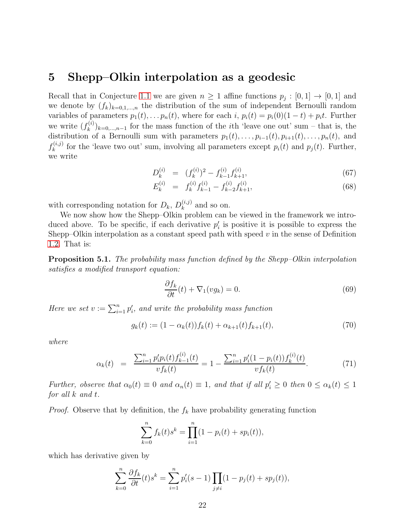### <span id="page-21-0"></span>5 Shepp–Olkin interpolation as a geodesic

Recall that in Conjecture [1.1](#page-1-0) we are given  $n \geq 1$  affine functions  $p_j : [0,1] \to [0,1]$  and we denote by  $(f_k)_{k=0,1,\dots,n}$  the distribution of the sum of independent Bernoulli random variables of parameters  $p_1(t), \ldots p_n(t)$ , where for each i,  $p_i(t) = p_i(0)(1-t) + p_i t$ . Further we write  $(f_k^{(i)}$  $(k)$ <sub>k=0,...,n-1</sub> for the mass function of the *i*th 'leave one out' sum – that is, the distribution of a Bernoulli sum with parameters  $p_1(t), \ldots, p_{i-1}(t), p_{i+1}(t), \ldots, p_n(t)$ , and  $f_k^{(i,j)}$  $f_k^{(i,j)}$  for the 'leave two out' sum, involving all parameters except  $p_i(t)$  and  $p_j(t)$ . Further, we write

<span id="page-21-4"></span>
$$
D_k^{(i)} = (f_k^{(i)})^2 - f_{k-1}^{(i)} f_{k+1}^{(i)}, \tag{67}
$$

$$
E_k^{(i)} = f_k^{(i)} f_{k-1}^{(i)} - f_{k-2}^{(i)} f_{k+1}^{(i)},
$$
\n(68)

with corresponding notation for  $D_k$ ,  $D_k^{(i,j)}$  $\binom{(i,j)}{k}$  and so on.

We now show how the Shepp–Olkin problem can be viewed in the framework we introduced above. To be specific, if each derivative  $p_i'$  is positive it is possible to express the Shepp–Olkin interpolation as a constant speed path with speed  $v$  in the sense of Definition [1.2.](#page-2-1) That is:

**Proposition 5.1.** The probability mass function defined by the Shepp–Olkin interpolation satisfies a modified transport equation:

<span id="page-21-1"></span>
$$
\frac{\partial f_k}{\partial t}(t) + \nabla_1(vg_k) = 0.
$$
\n(69)

Here we set  $v := \sum_{i=1}^n p'_i$ , and write the probability mass function

<span id="page-21-3"></span>
$$
g_k(t) := (1 - \alpha_k(t)) f_k(t) + \alpha_{k+1}(t) f_{k+1}(t), \tag{70}
$$

where

<span id="page-21-2"></span>
$$
\alpha_k(t) = \frac{\sum_{i=1}^n p'_i p_i(t) f_{k-1}^{(i)}(t)}{v f_k(t)} = 1 - \frac{\sum_{i=1}^n p'_i (1 - p_i(t)) f_k^{(i)}(t)}{v f_k(t)}.
$$
\n(71)

Further, observe that  $\alpha_0(t) \equiv 0$  and  $\alpha_n(t) \equiv 1$ , and that if all  $p'_i \geq 0$  then  $0 \leq \alpha_k(t) \leq 1$ for all k and t.

*Proof.* Observe that by definition, the  $f_k$  have probability generating function

$$
\sum_{k=0}^{n} f_k(t)s^k = \prod_{i=1}^{n} (1 - p_i(t) + sp_i(t)),
$$

which has derivative given by

$$
\sum_{k=0}^{n} \frac{\partial f_k}{\partial t}(t) s^k = \sum_{i=1}^{n} p'_i(s-1) \prod_{j \neq i} (1 - p_j(t) + sp_j(t)),
$$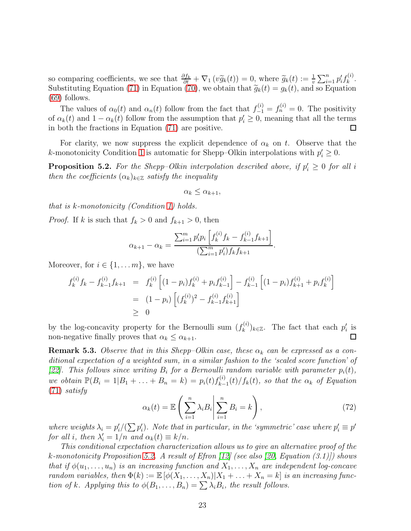so comparing coefficients, we see that  $\frac{\partial f_k}{\partial t} + \nabla_1 (v \widetilde{g}_k(t)) = 0$ , where  $\widetilde{g}_k(t) := \frac{1}{v} \sum_{i=1}^n p'_i f_k^{(i)}$  $\frac{k^{(i)}}{k}$ . Substituting Equation [\(71\)](#page-21-2) in Equation [\(70\)](#page-21-3), we obtain that  $\widetilde{g}_k(t) = g_k(t)$ , and so Equation (60) follows: [\(69\)](#page-21-1) follows.

The values of  $\alpha_0(t)$  and  $\alpha_n(t)$  follow from the fact that  $f_{-1}^{(i)} = f_n^{(i)} = 0$ . The positivity of  $\alpha_k(t)$  and  $1 - \alpha_k(t)$  follow from the assumption that  $p'_i \geq 0$ , meaning that all the terms in both the fractions in Equation [\(71\)](#page-21-2) are positive.

For clarity, we now suppress the explicit dependence of  $\alpha_k$  on t. Observe that the *k*-monotonicity Condition [1](#page-2-0) is automatic for Shepp–Olkin interpolations with  $p'_i \geq 0$ .

<span id="page-22-1"></span>**Proposition 5.2.** For the Shepp-Olkin interpolation described above, if  $p'_i \geq 0$  for all i then the coefficients  $(\alpha_k)_{k\in\mathbb{Z}}$  satisfy the inequality

$$
\alpha_k \leq \alpha_{k+1},
$$

that is k-monotonicity (Condition [1\)](#page-2-0) holds.

*Proof.* If k is such that  $f_k > 0$  and  $f_{k+1} > 0$ , then

$$
\alpha_{k+1} - \alpha_k = \frac{\sum_{i=1}^m p'_i p_i \left[ f_k^{(i)} f_k - f_{k-1}^{(i)} f_{k+1} \right]}{\left( \sum_{i=1}^m p'_i \right) f_k f_{k+1}}.
$$

Moreover, for  $i \in \{1, \ldots m\}$ , we have

$$
f_k^{(i)} f_k - f_{k-1}^{(i)} f_{k+1} = f_k^{(i)} \left[ (1 - p_i) f_k^{(i)} + p_i f_{k-1}^{(i)} \right] - f_{k-1}^{(i)} \left[ (1 - p_i) f_{k+1}^{(i)} + p_i f_k^{(i)} \right]
$$
  
= 
$$
(1 - p_i) \left[ (f_k^{(i)})^2 - f_{k-1}^{(i)} f_{k+1}^{(i)} \right]
$$
  

$$
\geq 0
$$

by the log-concavity property for the Bernoulli sum  $(f_k^{(i)})$  $(k^{(i)})_{k\in\mathbb{Z}}$ . The fact that each  $p'_i$  is non-negative finally proves that  $\alpha_k \leq \alpha_{k+1}$ .  $\Box$ 

<span id="page-22-0"></span>**Remark 5.3.** Observe that in this Shepp–Olkin case, these  $\alpha_k$  can be expressed as a conditional expectation of a weighted sum, in a similar fashion to the 'scaled score function' of [\[22\]](#page-30-14). This follows since writing  $B_i$  for a Bernoulli random variable with parameter  $p_i(t)$ , we obtain  $\mathbb{P}(B_i = 1|B_1 + ... + B_n = k) = p_i(t)f_{k-1}^{(i)}$  $\binom{N(t)}{k-1}(t)/f_k(t)$ , so that the  $\alpha_k$  of Equation [\(71\)](#page-21-2) satisfy

$$
\alpha_k(t) = \mathbb{E}\left(\sum_{i=1}^n \lambda_i B_i \middle| \sum_{i=1}^n B_i = k\right),\tag{72}
$$

where weights  $\lambda_i = p'_i/(\sum p'_i)$ . Note that in particular, in the 'symmetric' case where  $p'_i \equiv p'$ for all i, then  $\lambda'_i = 1/n$  and  $\alpha_k(t) \equiv k/n$ .

This conditional expectation characterization allows us to give an alternative proof of the k-monotonicity Proposition [5.2.](#page-22-1) A result of Efron [\[12\]](#page-29-12) (see also [\[20,](#page-30-15) Equation (3.1)]) shows that if  $\phi(u_1, \ldots, u_n)$  is an increasing function and  $X_1, \ldots, X_n$  are independent log-concave random variables, then  $\Phi(k) := \mathbb{E} [\phi(X_1, \ldots, X_n) | X_1 + \ldots + X_n = k]$  is an increasing function of k. Applying this to  $\phi(B_1, \ldots, B_n) = \sum_{i} \lambda_i B_i$ , the result follows.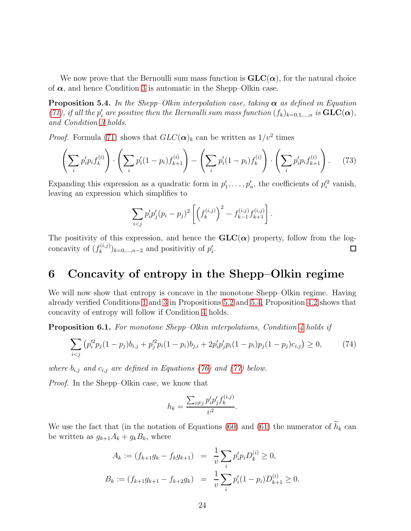We now prove that the Bernoulli sum mass function is  $GLC(\alpha)$ , for the natural choice of  $\alpha$ , and hence Condition [3](#page-3-1) is automatic in the Shepp–Olkin case.

<span id="page-23-0"></span>**Proposition 5.4.** In the Shepp–Olkin interpolation case, taking  $\alpha$  as defined in Equation [\(71\)](#page-21-2), if all the  $p'_i$  are positive then the Bernoulli sum mass function  $(f_k)_{k=0,1,\dots,n}$  is  $\text{GLC}(\alpha)$ , and Condition [3](#page-3-1) holds.

*Proof.* Formula [\(71\)](#page-21-2) shows that  $GLC(\boldsymbol{\alpha})_k$  can be written as  $1/v^2$  times

$$
\left(\sum_{i} p'_{i} p_{i} f_{k}^{(i)}\right) \cdot \left(\sum_{i} p'_{i} (1-p_{i}) f_{k+1}^{(i)}\right) - \left(\sum_{i} p'_{i} (1-p_{i}) f_{k}^{(i)}\right) \cdot \left(\sum_{i} p'_{i} p_{i} f_{k+1}^{(i)}\right). \tag{73}
$$

Expanding this expression as a quadratic form in  $p'_1, \ldots, p'_n$ , the coefficients of  $p'^2$  vanish, leaving an expression which simplifies to

$$
\sum_{i < j} p'_i p'_j (p_i - p_j)^2 \left[ \left( f_k^{(i,j)} \right)^2 - f_{k-1}^{(i,j)} f_{k+1}^{(i,j)} \right].
$$

The positivity of this expression, and hence the  $GLC(\alpha)$  property, follow from the logconcavity of  $(f_k^{(i,j)})$  $(k^{(i,j)}_{k})_{k=0,\ldots,n-2}$  and positivitiy of  $p'_{i}$ .  $\Box$ 

# <span id="page-23-1"></span>6 Concavity of entropy in the Shepp–Olkin regime

We will now show that entropy is concave in the monotone Shepp–Olkin regime. Having already verified Conditions [1](#page-2-0) and [3](#page-3-1) in Propositions [5.2](#page-22-1) and [5.4,](#page-23-0) Proposition [4.2](#page-19-0) shows that concavity of entropy will follow if Condition [4](#page-19-1) holds.

Proposition 6.1. For monotone Shepp–Olkin interpolations, Condition [4](#page-19-1) holds if

<span id="page-23-2"></span>
$$
\sum_{i < j} \left( p_i'^2 p_j (1 - p_j) b_{i,j} + p_j'^2 p_i (1 - p_i) b_{j,i} + 2 p_i' p_j' p_i (1 - p_i) p_j (1 - p_j) c_{i,j} \right) \ge 0,\tag{74}
$$

where  $b_{i,j}$  and  $c_{i,j}$  are defined in Equations [\(76\)](#page-24-0) and [\(77\)](#page-25-0) below.

Proof. In the Shepp–Olkin case, we know that

$$
h_k = \frac{\sum_{i \neq j} p'_i p'_j f_k^{(i,j)}}{v^2}.
$$

We use the fact that (in the notation of Equations [\(60\)](#page-19-3) and [\(61\)](#page-19-3) the numerator of  $\widetilde{h}_k$  can be written as  $g_{k+1}A_k + g_kB_k$ , where

$$
A_k := (f_{k+1}g_k - f_kg_{k+1}) = \frac{1}{v} \sum_i p'_ip_iD_k^{(i)} \ge 0,
$$
  

$$
B_k := (f_{k+1}g_{k+1} - f_{k+2}g_k) = \frac{1}{v} \sum_i p'_i(1-p_i)D_{k+1}^{(i)} \ge 0.
$$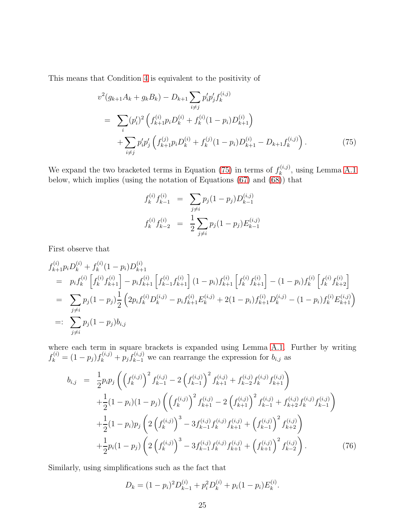This means that Condition [4](#page-19-1) is equivalent to the positivity of

<span id="page-24-1"></span>
$$
v^{2}(g_{k+1}A_{k} + g_{k}B_{k}) - D_{k+1} \sum_{i \neq j} p'_{i}p'_{j}f_{k}^{(i,j)}
$$
  
\n
$$
= \sum_{i} (p'_{i})^{2} \left( f_{k+1}^{(i)} p_{i} D_{k}^{(i)} + f_{k}^{(i)} (1 - p_{i}) D_{k+1}^{(i)} \right)
$$
  
\n
$$
+ \sum_{i \neq j} p'_{i}p'_{j} \left( f_{k+1}^{(j)} p_{i} D_{k}^{(i)} + f_{k}^{(j)} (1 - p_{i}) D_{k+1}^{(i)} - D_{k+1}f_{k}^{(i,j)} \right).
$$
 (75)

We expand the two bracketed terms in Equation [\(75\)](#page-24-1) in terms of  $f_k^{(i,j)}$  $\mathbf{R}_k^{(i,j)}$ , using Lemma [A.1](#page-26-1) below, which implies (using the notation of Equations [\(67\)](#page-21-4) and [\(68\)](#page-21-4)) that

$$
f_k^{(i)} f_{k-1}^{(i)} = \sum_{j \neq i} p_j (1 - p_j) D_{k-1}^{(i,j)}
$$
  

$$
f_k^{(i)} f_{k-2}^{(i)} = \frac{1}{2} \sum_{j \neq i} p_j (1 - p_j) E_{k-1}^{(i,j)}
$$

First observe that

$$
f_{k+1}^{(i)} p_i D_k^{(i)} + f_k^{(i)} (1 - p_i) D_{k+1}^{(i)}
$$
  
\n
$$
= p_i f_k^{(i)} \left[ f_k^{(i)} f_{k+1}^{(i)} \right] - p_i f_{k+1}^{(i)} \left[ f_{k-1}^{(i)} f_{k+1}^{(i)} \right] (1 - p_i) f_{k+1}^{(i)} \left[ f_k^{(i)} f_{k+1}^{(i)} \right] - (1 - p_i) f_k^{(i)} \left[ f_k^{(i)} f_{k+2}^{(i)} \right]
$$
  
\n
$$
= \sum_{j \neq i} p_j (1 - p_j) \frac{1}{2} \left( 2 p_i f_k^{(i)} D_k^{(i,j)} - p_i f_{k+1}^{(i)} E_k^{(i,j)} + 2 (1 - p_i) f_{k+1}^{(i)} D_k^{(i,j)} - (1 - p_i) f_k^{(i)} E_{k+1}^{(i,j)} \right)
$$
  
\n
$$
= \sum_{j \neq i} p_j (1 - p_j) b_{i,j}
$$

where each term in square brackets is expanded using Lemma [A.1.](#page-26-1) Further by writing  $f_k^{(i)} = (1 - p_j)f_k^{(i,j)} + p_jf_{k-1}^{(i,j)}$  we can rearrange the expression for  $b_{i,j}$  as

<span id="page-24-0"></span>
$$
b_{i,j} = \frac{1}{2} p_i p_j \left( \left( f_k^{(i,j)} \right)^2 f_{k-1}^{(i,j)} - 2 \left( f_{k-1}^{(i,j)} \right)^2 f_{k+1}^{(i,j)} + f_{k-2}^{(i,j)} f_k^{(i,j)} f_{k+1}^{(i,j)} \right) + \frac{1}{2} (1 - p_i)(1 - p_j) \left( \left( f_k^{(i,j)} \right)^2 f_{k+1}^{(i,j)} - 2 \left( f_{k+1}^{(i,j)} \right)^2 f_{k-1}^{(i,j)} + f_{k+2}^{(i,j)} f_k^{(i,j)} f_{k-1}^{(i,j)} \right) + \frac{1}{2} (1 - p_i) p_j \left( 2 \left( f_k^{(i,j)} \right)^3 - 3 f_{k-1}^{(i,j)} f_k^{(i,j)} f_{k+1}^{(i,j)} + \left( f_{k-1}^{(i,j)} \right)^2 f_{k+2}^{(i,j)} \right) + \frac{1}{2} p_i (1 - p_j) \left( 2 \left( f_k^{(i,j)} \right)^3 - 3 f_{k-1}^{(i,j)} f_k^{(i,j)} f_{k+1}^{(i,j)} + \left( f_{k+1}^{(i,j)} \right)^2 f_{k-2}^{(i,j)} \right).
$$
(76)

Similarly, using simplifications such as the fact that

 $D_k = (1 - p_i)^2 D_{k-1}^{(i)} + p_i^2 D_k^{(i)} + p_i (1 - p_i) E_k^{(i)}$  $\frac{1}{k}$ .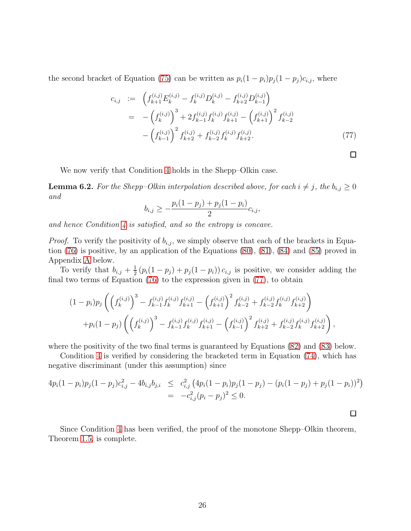the second bracket of Equation [\(75\)](#page-24-1) can be written as  $p_i(1-p_i)p_j(1-p_j)c_{i,j}$ , where

<span id="page-25-0"></span>
$$
c_{i,j} := \left( f_{k+1}^{(i,j)} E_k^{(i,j)} - f_k^{(i,j)} D_k^{(i,j)} - f_{k+2}^{(i,j)} D_{k-1}^{(i,j)} \right)
$$
  

$$
= -\left( f_k^{(i,j)} \right)^3 + 2 f_{k-1}^{(i,j)} f_k^{(i,j)} f_{k+1}^{(i,j)} - \left( f_{k+1}^{(i,j)} \right)^2 f_{k-2}^{(i,j)}
$$
  

$$
- \left( f_{k-1}^{(i,j)} \right)^2 f_{k+2}^{(i,j)} + f_{k-2}^{(i,j)} f_k^{(i,j)} f_{k+2}^{(i,j)}.
$$
 (77)

 $\Box$ 

 $\Box$ 

We now verify that Condition [4](#page-19-1) holds in the Shepp–Olkin case.

**Lemma 6.2.** For the Shepp–Olkin interpolation described above, for each  $i \neq j$ , the  $b_{i,j} \geq 0$ and

$$
b_{i,j} \geq -\frac{p_i(1-p_j) + p_j(1-p_i)}{2}c_{i,j},
$$

and hence Condition  $\lambda$  is satisfied, and so the entropy is concave.

*Proof.* To verify the positivity of  $b_{i,j}$ , we simply observe that each of the brackets in Equation [\(76\)](#page-24-0) is positive, by an application of the Equations [\(80\)](#page-26-2), [\(81\)](#page-27-0), [\(84\)](#page-27-0) and [\(85\)](#page-27-0) proved in Appendix [A](#page-26-3) below.

To verify that  $b_{i,j} + \frac{1}{2}$  $\frac{1}{2}(p_i(1-p_j)+p_j(1-p_i))c_{i,j}$  is positive, we consider adding the final two terms of Equation [\(76\)](#page-24-0) to the expression given in [\(77\)](#page-25-0), to obtain

$$
(1-p_i)p_j\left(\left(f_k^{(i,j)}\right)^3 - f_{k-1}^{(i,j)}f_k^{(i,j)}f_{k+1}^{(i,j)} - \left(f_{k+1}^{(i,j)}\right)^2 f_{k-2}^{(i,j)} + f_{k-2}^{(i,j)}f_k^{(i,j)}f_{k+2}^{(i,j)}\right) + p_i(1-p_j)\left(\left(f_k^{(i,j)}\right)^3 - f_{k-1}^{(i,j)}f_k^{(i,j)}f_{k+1}^{(i,j)} - \left(f_{k-1}^{(i,j)}\right)^2 f_{k+2}^{(i,j)} + f_{k-2}^{(i,j)}f_k^{(i,j)}f_{k+2}^{(i,j)}\right),
$$

where the positivity of the two final terms is guaranteed by Equations [\(82\)](#page-27-0) and [\(83\)](#page-27-0) below.

Condition [4](#page-19-1) is verified by considering the bracketed term in Equation [\(74\)](#page-23-2), which has negative discriminant (under this assumption) since

$$
4p_i(1-p_i)p_j(1-p_j)c_{i,j}^2 - 4b_{i,j}b_{j,i} \leq c_{i,j}^2 \left(4p_i(1-p_i)p_j(1-p_j) - (p_i(1-p_j) + p_j(1-p_i))^2\right) = -c_{i,j}^2(p_i-p_j)^2 \leq 0.
$$

Since Condition [4](#page-19-1) has been verified, the proof of the monotone Shepp–Olkin theorem, Theorem [1.5,](#page-3-4) is complete.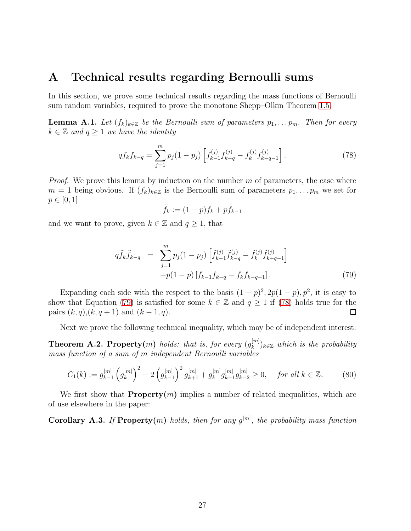### <span id="page-26-3"></span>A Technical results regarding Bernoulli sums

In this section, we prove some technical results regarding the mass functions of Bernoulli sum random variables, required to prove the monotone Shepp–Olkin Theorem [1.5.](#page-3-4)

<span id="page-26-1"></span>**Lemma A.1.** Let  $(f_k)_{k\in\mathbb{Z}}$  be the Bernoulli sum of parameters  $p_1, \ldots, p_m$ . Then for every  $k \in \mathbb{Z}$  and  $q \geq 1$  we have the identity

<span id="page-26-5"></span>
$$
qf_kf_{k-q} = \sum_{j=1}^{m} p_j(1-p_j) \left[ f_{k-1}^{(j)} f_{k-q}^{(j)} - f_k^{(j)} f_{k-q-1}^{(j)} \right].
$$
 (78)

*Proof.* We prove this lemma by induction on the number  $m$  of parameters, the case where  $m = 1$  being obvious. If  $(f_k)_{k \in \mathbb{Z}}$  is the Bernoulli sum of parameters  $p_1, \ldots p_m$  we set for  $p \in [0, 1]$ 

$$
\tilde{f}_k := (1 - p)f_k + pf_{k-1}
$$

and we want to prove, given  $k \in \mathbb{Z}$  and  $q \geq 1$ , that

<span id="page-26-4"></span>
$$
q\tilde{f}_k\tilde{f}_{k-q} = \sum_{j=1}^m p_j(1-p_j) \left[ \tilde{f}_{k-1}^{(j)} \tilde{f}_{k-q}^{(j)} - \tilde{f}_k^{(j)} \tilde{f}_{k-q-1}^{(j)} \right] + p(1-p) \left[ f_{k-1} f_{k-q} - f_k f_{k-q-1} \right].
$$
\n(79)

Expanding each side with the respect to the basis  $(1-p)^2$ ,  $2p(1-p)$ ,  $p^2$ , it is easy to show that Equation [\(79\)](#page-26-4) is satisfied for some  $k \in \mathbb{Z}$  and  $q \ge 1$  if [\(78\)](#page-26-5) holds true for the pairs  $(k, q), (k, q + 1)$  and  $(k - 1, q)$ . pairs  $(k, q), (k, q + 1)$  and  $(k - 1, q)$ .

Next we prove the following technical inequality, which may be of independent interest:

<span id="page-26-0"></span>**Theorem A.2. Property** $(m)$  holds: that is, for every  $(g_k^{[m]})$  $\binom{[m]}{k}$ <sub>k</sub> $\in \mathbb{Z}$  which is the probability mass function of a sum of m independent Bernoulli variables

<span id="page-26-2"></span>
$$
C_1(k) := g_{k-1}^{[m]} \left( g_k^{[m]} \right)^2 - 2 \left( g_{k-1}^{[m]} \right)^2 g_{k+1}^{[m]} + g_k^{[m]} g_{k+1}^{[m]} g_{k-2}^{[m]} \ge 0, \quad \text{for all } k \in \mathbb{Z}.
$$
 (80)

We first show that  $Property(m)$  implies a number of related inequalities, which are of use elsewhere in the paper:

**Corollary A.3.** If Property(m) holds, then for any  $g^{[m]}$ , the probability mass function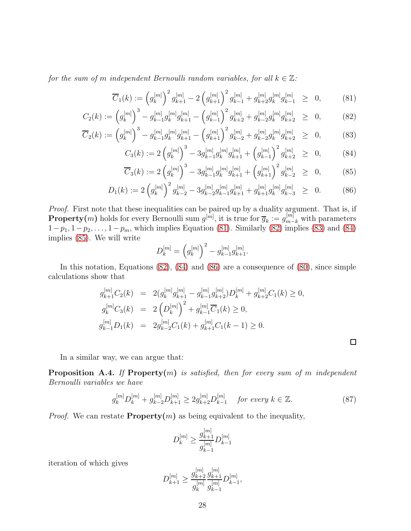for the sum of m independent Bernoulli random variables, for all  $k \in \mathbb{Z}$ :

<span id="page-27-0"></span>
$$
\overline{C}_1(k) := \left(g_k^{[m]}\right)^2 g_{k+1}^{[m]} - 2\left(g_{k+1}^{[m]}\right)^2 g_{k-1}^{[m]} + g_{k+2}^{[m]} g_k^{[m]} g_{k-1}^{[m]} \ge 0, \quad (81)
$$

$$
C_2(k) := \left(g_k^{[m]}\right)^3 - g_{k-1}^{[m]}g_k^{[m]}g_{k+1}^{[m]} - \left(g_{k-1}^{[m]}\right)^2 g_{k+2}^{[m]} + g_{k-2}^{[m]}g_k^{[m]}g_{k+2}^{[m]} \geq 0, \quad (82)
$$

$$
\overline{C}_2(k) := \left(g_k^{[m]}\right)^3 - g_{k-1}^{[m]}g_k^{[m]}g_{k+1}^{[m]} - \left(g_{k+1}^{[m]}\right)^2 g_{k-2}^{[m]} + g_{k-2}^{[m]}g_k^{[m]}g_{k+2}^{[m]} \geq 0, \tag{83}
$$

$$
C_3(k) := 2\left(g_k^{[m]}\right)^3 - 3g_{k-1}^{[m]}g_k^{[m]}g_{k+1}^{[m]} + \left(g_{k-1}^{[m]}\right)^2 g_{k+2}^{[m]} \ge 0, \quad (84)
$$

$$
\overline{C}_3(k) := 2\left(g_k^{[m]}\right)^3 - 3g_{k-1}^{[m]}g_k^{[m]}g_{k+1}^{[m]} + \left(g_{k+1}^{[m]}\right)^2 g_{k-2}^{[m]} \ge 0, \quad (85)
$$

$$
D_1(k) := 2\left(g_k^{[m]}\right)^2 g_{k-2}^{[m]} - 3g_{k-2}^{[m]}g_{k-1}^{[m]}g_{k+1}^{[m]} + g_{k+1}^{[m]}g_k^{[m]}g_{k-3}^{[m]} \ge 0. \tag{86}
$$

Proof. First note that these inequalities can be paired up by a duality argument. That is, if **Property**(*m*) holds for every Bernoulli sum  $g^{[m]}$ , it is true for  $\overline{g}_k := g_{m-k}^{[m]}$  with parameters  $1-p_1, 1-p_2, \ldots, 1-p_m$ , which implies Equation [\(81\)](#page-27-0). Similarly [\(82\)](#page-27-0) implies [\(83\)](#page-27-0) and [\(84\)](#page-27-0) implies [\(85\)](#page-27-0). We will write

$$
D_k^{[m]} = \left(g_k^{[m]}\right)^2 - g_{k-1}^{[m]}g_{k+1}^{[m]}.
$$

In this notation, Equations [\(82\)](#page-27-0), [\(84\)](#page-27-0) and [\(86\)](#page-27-0) are a consequence of [\(80\)](#page-26-2), since simple calculations show that

$$
g_{k+1}^{[m]}C_2(k) = 2(g_k^{[m]}g_{k+1}^{[m]} - g_{k-1}^{[m]}g_{k+2}^{[m]})D_k^{[m]} + g_{k+2}^{[m]}C_1(k) \ge 0,
$$
  
\n
$$
g_k^{[m]}C_3(k) = 2\left(D_k^{[m]}\right)^2 + g_{k-1}^{[m]}\overline{C}_1(k) \ge 0,
$$
  
\n
$$
g_{k-1}^{[m]}D_1(k) = 2g_{k-2}^{[m]}C_1(k) + g_{k+1}^{[m]}C_1(k-1) \ge 0.
$$

In a similar way, we can argue that:

<span id="page-27-2"></span>**Proposition A.4.** If Property $(m)$  is satisfied, then for every sum of m independent Bernoulli variables we have

<span id="page-27-1"></span>
$$
g_k^{[m]} D_k^{[m]} + g_{k-2}^{[m]} D_{k+1}^{[m]} \ge 2g_{k+2}^{[m]} D_{k-1}^{[m]} \quad \text{for every } k \in \mathbb{Z}.
$$
 (87)

 $\Box$ 

*Proof.* We can restate **Property** $(m)$  as being equivalent to the inequality,

$$
D_k^{[m]}\geq \frac{g_{k+1}^{[m]}}{g_{k-1}^{[m]}}D_{k-1}^{[m]}
$$

iteration of which gives

$$
D_{k+1}^{[m]} \ge \frac{g_{k+2}^{[m]}}{g_k^{[m]}} \frac{g_{k+1}^{[m]}}{g_{k-1}^{[m]}} D_{k-1}^{[m]},
$$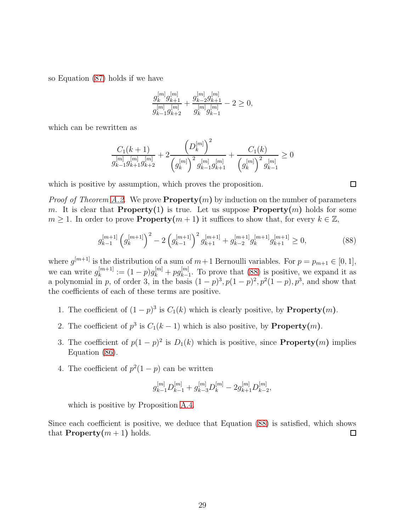so Equation [\(87\)](#page-27-1) holds if we have

$$
\frac{g_k^{[m]}g_{k+1}^{[m]}}{g_{k-1}^{[m]}g_{k+2}^{[m]}}+\frac{g_{k-2}^{[m]}g_{k+1}^{[m]}}{g_{k}^{[m]}g_{k-1}^{[m]}}-2\geq 0,
$$

which can be rewritten as

$$
\frac{C_1(k+1)}{g_{k-1}^{[m]}g_{k+1}^{[m]}g_{k+2}^{[m]}} + 2\frac{\left(D_k^{[m]}\right)^2}{\left(g_k^{[m]}\right)^2g_{k-1}^{[m]}g_{k+1}^{[m]}} + \frac{C_1(k)}{\left(g_k^{[m]}\right)^2g_{k-1}^{[m]}} \ge 0
$$

which is positive by assumption, which proves the proposition.

*Proof of Theorem [A.2.](#page-26-0)* We prove  $\mathbf{Property}(m)$  by induction on the number of parameters m. It is clear that **Property**(1) is true. Let us suppose **Property** $(m)$  holds for some  $m \geq 1$ . In order to prove **Property** $(m+1)$  it suffices to show that, for every  $k \in \mathbb{Z}$ ,

<span id="page-28-0"></span>
$$
g_{k-1}^{[m+1]} \left( g_k^{[m+1]} \right)^2 - 2 \left( g_{k-1}^{[m+1]} \right)^2 g_{k+1}^{[m+1]} + g_{k-2}^{[m+1]} g_k^{[m+1]} g_{k+1}^{[m+1]} \ge 0, \tag{88}
$$

where  $g^{[m+1]}$  is the distribution of a sum of  $m+1$  Bernoulli variables. For  $p = p_{m+1} \in [0, 1]$ , we can write  $g_k^{[m+1]}$  $\binom{[m+1]}{k} := (1-p)g_k^{[m]} + pg_{k-1}^{[m]}$  $\binom{[m]}{k-1}$ . To prove that [\(88\)](#page-28-0) is positive, we expand it as a polynomial in p, of order 3, in the basis  $(1-p)^3$ ,  $p(1-p)^2$ ,  $p^2(1-p)$ ,  $p^3$ , and show that the coefficients of each of these terms are positive.

- 1. The coefficient of  $(1-p)^3$  is  $C_1(k)$  which is clearly positive, by **Property** $(m)$ .
- 2. The coefficient of  $p^3$  is  $C_1(k-1)$  which is also positive, by **.**
- 3. The coefficient of  $p(1-p)^2$  is  $D_1(k)$  which is positive, since **Property** $(m)$  implies Equation [\(86\)](#page-27-0).
- 4. The coefficient of  $p^2(1-p)$  can be written

$$
g_{k-1}^{[m]}D_{k-1}^{[m]}+g_{k-3}^{[m]}D_k^{[m]}-2g_{k+1}^{[m]}D_{k-2}^{[m]},
$$

which is positive by Proposition [A.4.](#page-27-2)

Since each coefficient is positive, we deduce that Equation [\(88\)](#page-28-0) is satisfied, which shows that **Property** $(m + 1)$  holds.  $\Box$ 

 $\Box$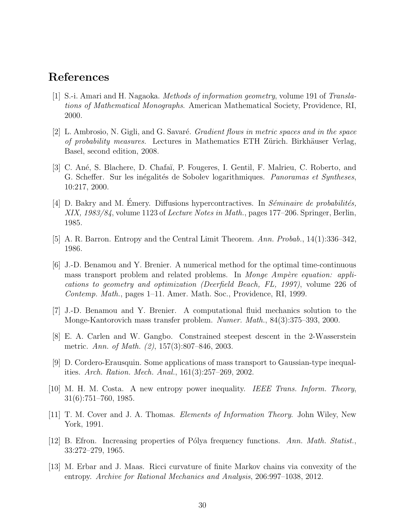### <span id="page-29-6"></span>References

- [1] S.-i. Amari and H. Nagaoka. Methods of information geometry, volume 191 of Translations of Mathematical Monographs. American Mathematical Society, Providence, RI, 2000.
- <span id="page-29-2"></span>[2] L. Ambrosio, N. Gigli, and G. Savaré. *Gradient flows in metric spaces and in the space* of probability measures. Lectures in Mathematics ETH Zürich. Birkhäuser Verlag, Basel, second edition, 2008.
- <span id="page-29-11"></span>[3] C. An´e, S. Blachere, D. Chafa¨ı, P. Fougeres, I. Gentil, F. Malrieu, C. Roberto, and G. Scheffer. Sur les inégalités de Sobolev logarithmiques. Panoramas et Syntheses, 10:217, 2000.
- <span id="page-29-10"></span>[4] D. Bakry and M. Emery. Diffusions hypercontractives. In  $Séminaire$  de probabilités, XIX, 1983/84, volume 1123 of Lecture Notes in Math., pages 177–206. Springer, Berlin, 1985.
- <span id="page-29-8"></span><span id="page-29-0"></span>[5] A. R. Barron. Entropy and the Central Limit Theorem. Ann. Probab., 14(1):336–342, 1986.
- [6] J.-D. Benamou and Y. Brenier. A numerical method for the optimal time-continuous mass transport problem and related problems. In Monge Ampère equation: applications to geometry and optimization (Deerfield Beach, FL, 1997), volume 226 of Contemp. Math., pages 1–11. Amer. Math. Soc., Providence, RI, 1999.
- <span id="page-29-3"></span><span id="page-29-1"></span>[7] J.-D. Benamou and Y. Brenier. A computational fluid mechanics solution to the Monge-Kantorovich mass transfer problem. Numer. Math., 84(3):375–393, 2000.
- [8] E. A. Carlen and W. Gangbo. Constrained steepest descent in the 2-Wasserstein metric. Ann. of Math. (2), 157(3):807–846, 2003.
- <span id="page-29-4"></span>[9] D. Cordero-Erausquin. Some applications of mass transport to Gaussian-type inequalities. Arch. Ration. Mech. Anal., 161(3):257–269, 2002.
- <span id="page-29-7"></span><span id="page-29-5"></span>[10] M. H. M. Costa. A new entropy power inequality. IEEE Trans. Inform. Theory, 31(6):751–760, 1985.
- <span id="page-29-12"></span>[11] T. M. Cover and J. A. Thomas. Elements of Information Theory. John Wiley, New York, 1991.
- [12] B. Efron. Increasing properties of Pólya frequency functions. Ann. Math. Statist., 33:272–279, 1965.
- <span id="page-29-9"></span>[13] M. Erbar and J. Maas. Ricci curvature of finite Markov chains via convexity of the entropy. Archive for Rational Mechanics and Analysis, 206:997–1038, 2012.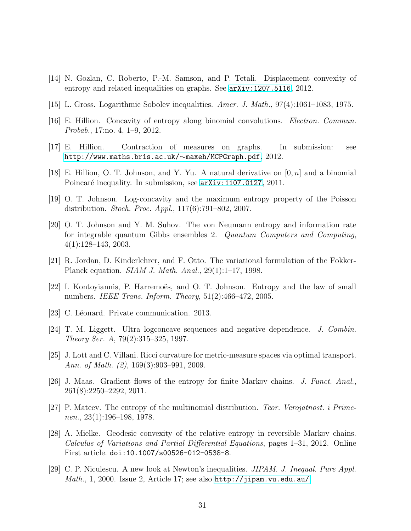- <span id="page-30-10"></span><span id="page-30-4"></span>[14] N. Gozlan, C. Roberto, P.-M. Samson, and P. Tetali. Displacement convexity of entropy and related inequalities on graphs. See [arXiv:1207.5116](http://arxiv.org/abs/1207.5116), 2012.
- <span id="page-30-2"></span>[15] L. Gross. Logarithmic Sobolev inequalities. Amer. J. Math., 97(4):1061–1083, 1975.
- <span id="page-30-11"></span>[16] E. Hillion. Concavity of entropy along binomial convolutions. Electron. Commun. Probab., 17:no. 4, 1–9, 2012.
- <span id="page-30-12"></span>[17] E. Hillion. Contraction of measures on graphs. In submission: see [http://www.maths.bris.ac.uk/](http://www.maths.bris.ac.uk/~maxeh/MCPGraph.pdf)∼maxeh/MCPGraph.pdf, 2012.
- <span id="page-30-9"></span>[18] E. Hillion, O. T. Johnson, and Y. Yu. A natural derivative on  $[0, n]$  and a binomial Poincaré inequality. In submission, see  $arXiv:1107.0127$ , 2011.
- <span id="page-30-15"></span>[19] O. T. Johnson. Log-concavity and the maximum entropy property of the Poisson distribution. Stoch. Proc. Appl., 117(6):791–802, 2007.
- [20] O. T. Johnson and Y. M. Suhov. The von Neumann entropy and information rate for integrable quantum Gibbs ensembles 2. Quantum Computers and Computing, 4(1):128–143, 2003.
- <span id="page-30-14"></span><span id="page-30-0"></span>[21] R. Jordan, D. Kinderlehrer, and F. Otto. The variational formulation of the Fokker-Planck equation. SIAM J. Math. Anal., 29(1):1–17, 1998.
- <span id="page-30-5"></span>[22] I. Kontoyiannis, P. Harremoës, and O. T. Johnson. Entropy and the law of small numbers. IEEE Trans. Inform. Theory,  $51(2):466-472$ ,  $2005$ .
- <span id="page-30-3"></span>[23] C. Léonard. Private communication. 2013.
- <span id="page-30-1"></span>[24] T. M. Liggett. Ultra logconcave sequences and negative dependence. J. Combin. Theory Ser. A, 79(2):315–325, 1997.
- [25] J. Lott and C. Villani. Ricci curvature for metric-measure spaces via optimal transport. Ann. of Math. (2), 169(3):903–991, 2009.
- <span id="page-30-7"></span>[26] J. Maas. Gradient flows of the entropy for finite Markov chains. J. Funct. Anal., 261(8):2250–2292, 2011.
- <span id="page-30-6"></span>[27] P. Mateev. The entropy of the multinomial distribution. Teor. Verojatnost. i Primenen.,  $23(1):196-198$ , 1978.
- <span id="page-30-8"></span>[28] A. Mielke. Geodesic convexity of the relative entropy in reversible Markov chains. Calculus of Variations and Partial Differential Equations, pages 1–31, 2012. Online First article. doi:10.1007/s00526-012-0538-8.
- <span id="page-30-13"></span>[29] C. P. Niculescu. A new look at Newton's inequalities. JIPAM. J. Inequal. Pure Appl. Math., 1, 2000. Issue 2, Article 17; see also  $http://jipam.vu.edu.au/$ .